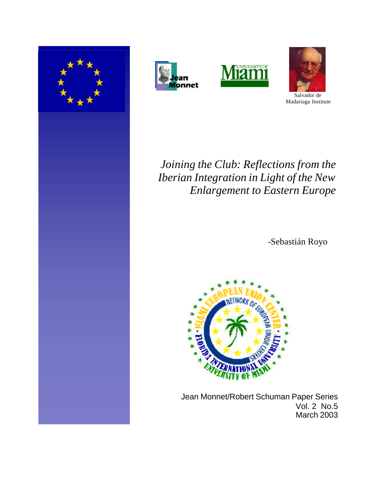







Salvador de Madariaga Institute

 *Joining the Club: Reflections from the Iberian Integration in Light of the New Enlargement to Eastern Europe* 

-Sebastián Royo



 Jean Monnet/Robert Schuman Paper Series Vol. 2 No.5 March 2003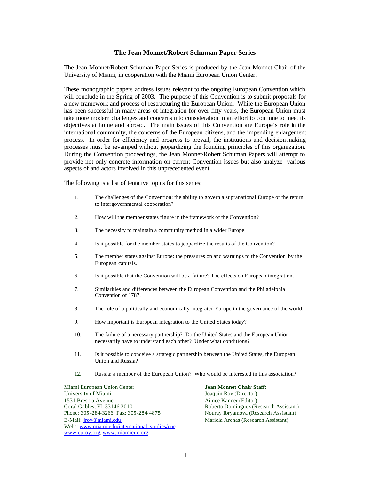#### **The Jean Monnet/Robert Schuman Paper Series**

The Jean Monnet/Robert Schuman Paper Series is produced by the Jean Monnet Chair of the University of Miami, in cooperation with the Miami European Union Center.

These monographic papers address issues relevant to the ongoing European Convention which will conclude in the Spring of 2003. The purpose of this Convention is to submit proposals for a new framework and process of restructuring the European Union. While the European Union has been successful in many areas of integration for over fifty years, the European Union must take more modern challenges and concerns into consideration in an effort to continue to meet its objectives at home and abroad. The main issues of this Convention are Europe's role in the international community, the concerns of the European citizens, and the impending enlargement process. In order for efficiency and progress to prevail, the institutions and decision-making processes must be revamped without jeopardizing the founding principles of this organization. During the Convention proceedings, the Jean Monnet/Robert Schuman Papers will attempt to provide not only concrete information on current Convention issues but also analyze various aspects of and actors involved in this unprecedented event.

The following is a list of tentative topics for this series:

- 1. The challenges of the Convention: the ability to govern a supranational Europe or the return to intergovernmental cooperation?
- 2. How will the member states figure in the framework of the Convention?
- 3. The necessity to maintain a community method in a wider Europe.
- 4. Is it possible for the member states to jeopardize the results of the Convention?
- 5. The member states against Europe: the pressures on and warnings to the Convention by the European capitals.
- 6. Is it possible that the Convention will be a failure? The effects on European integration.
- 7. Similarities and differences between the European Convention and the Philadelphia Convention of 1787.
- 8. The role of a politically and economically integrated Europe in the governance of the world.
- 9. How important is European integration to the United States today?
- 10. The failure of a necessary partnership? Do the United States and the European Union necessarily have to understand each other? Under what conditions?
- 11. Is it possible to conceive a strategic partnership between the United States, the European Union and Russia?
- 12. Russia: a member of the European Union? Who would be interested in this association?

Miami European Union Center **Jean Monnet Chair Staff:** University of Miami Joaquín Roy (Director) 1531 Brescia Avenue Aimee Kanner (Editor) Coral Gables, FL 33146-3010 Roberto Domínguez (Research Assistant) Phone: 305 -284 3266; Fax: 305 -284 4875 Nouray Ibryamova (Research Assistant)<br>E-Mail: irov@miami.edu Mariela Arenas (Research Assistant) Webs: www.miami.edu/international -studies/euc www.euroy.org; www.miamieuc.org

Mariela Arenas (Research Assistant)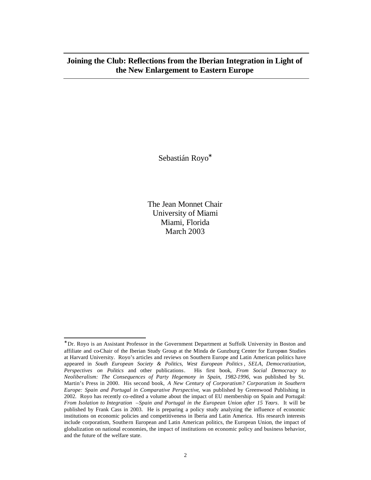# **Joining the Club: Reflections from the Iberian Integration in Light of the New Enlargement to Eastern Europe**

Sebastián Royo<sup>\*</sup>

The Jean Monnet Chair University of Miami Miami, Florida March 2003

Dr. Royo is an Assistant Professor in the Government Department at Suffolk University in Boston and affiliate and co-Chair of the Iberian Study Group at the Minda de Gunzburg Center for European Studies at Harvard University. Royo's articles and reviews on Southern Europe and Latin American politics have appeared in *South European Society & Politics*, *West European Politics* , *SELA*, *Democratization, Perspectives on Politics* and other publications. His first book, *From Social Democracy to Neoliberalism: The Consequences of Party Hegemony in Spain, 1982-1996*, was published by St. Martin's Press in 2000. His second book, *A New Century of Corporatism? Corporatism in Southern Europe: Spain and Portugal in Comparative Perspective*, was published by Greenwood Publishing in 2002. Royo has recently co-edited a volume about the impact of EU membership on Spain and Portugal: *From Isolation to Integration –Spain and Portugal in the European Union after 15 Years*. It will be published by Frank Cass in 2003. He is preparing a policy study analyzing the influence of economic institutions on economic policies and competitiveness in Iberia and Latin America. His research interests include corporatism, Southern European and Latin American politics, the European Union, the impact of globalization on national economies, the impact of institutions on economic policy and business behavior, and the future of the welfare state.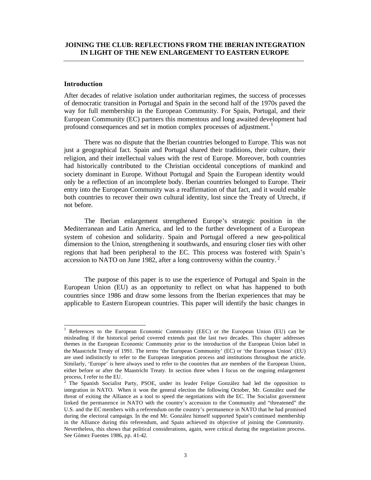# **JOINING THE CLUB: REFLECTIONS FROM THE IBERIAN INTEGRATION IN LIGHT OF THE NEW ENLARGEMENT TO EASTERN EUROPE**

# **Introduction**

l

After decades of relative isolation under authoritarian regimes, the success of processes of democratic transition in Portugal and Spain in the second half of the 1970s paved the way for full membership in the European Community. For Spain, Portugal, and their European Community (EC) partners this momentous and long awaited development had profound consequences and set in motion complex processes of adjustment.<sup>1</sup>

There was no dispute that the Iberian countries belonged to Europe. This was not just a geographical fact. Spain and Portugal shared their traditions, their culture, their religion, and their intellectual values with the rest of Europe. Moreover, both countries had historically contributed to the Christian occidental conceptions of mankind and society dominant in Europe. Without Portugal and Spain the European identity would only be a reflection of an incomplete body. Iberian countries belonged to Europe. Their entry into the European Community was a reaffirmation of that fact, and it would enable both countries to recover their own cultural identity, lost since the Treaty of Utrecht, if not before.

The Iberian enlargement strengthened Europe's strategic position in the Mediterranean and Latin America, and led to the further development of a European system of cohesion and solidarity. Spain and Portugal offered a new geo-political dimension to the Union, strengthening it southwards, and ensuring closer ties with other regions that had been peripheral to the EC. This process was fostered with Spain's accession to NATO on June 1982, after a long controversy within the country.<sup>2</sup>

The purpose of this paper is to use the experience of Portugal and Spain in the European Union (EU) as an opportunity to reflect on what has happened to both countries since 1986 and draw some lessons from the Iberian experiences that may be applicable to Eastern European countries. This paper will identify the basic changes in

<sup>1</sup> References to the European Economic Community (EEC) or the European Union (EU) can be misleading if the historical period covered extends past the last two decades. This chapter addresses themes in the European Economic Community prior to the introduction of the European Union label in the Maastricht Treaty of 1991. The terms 'the European Community' (EC) or 'the European Union' (EU) are used indistinctly to refer to the European integration process and institutions throughout the article. Similarly, 'Europe' is here always used to refer to the countries that are members of the European Union, either before or after the Maastricht Treaty. In section three when I focus on the ongoing enlargement process, I refer to the EU.

<sup>&</sup>lt;sup>2</sup> The Spanish Socialist Party, PSOE, under its leader Felipe González had led the opposition to integration in NATO. When it won the general election the following October, Mr. González used the threat of exiting the Alliance as a tool to speed the negotiations with the EC. The Socialist government linked the permanence in NATO with the country's accession to the Community and "threatened" the U.S. and the EC members with a referendum on the country's permanence in NATO that he had promised during the electoral campaign. In the end Mr. González himself supported Spain's continued membership in the Alliance during this referendum, and Spain achieved its objective of joining the Community. Nevertheless, this shows that political considerations, again, were critical during the negotiation process. See Gómez Fuentes 1986, pp. 41-42.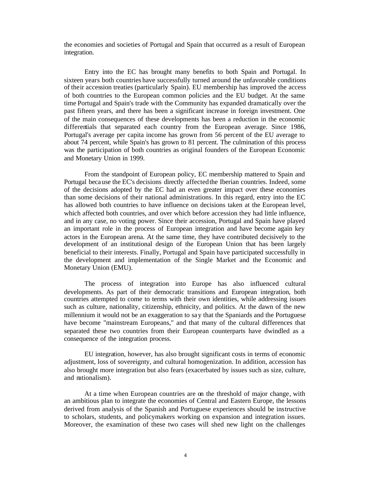the economies and societies of Portugal and Spain that occurred as a result of European integration.

Entry into the EC has brought many benefits to both Spain and Portugal. In sixteen years both countries have successfully turned around the unfavorable conditions of their accession treaties (particularly Spain). EU membership has improved the access of both countries to the European common policies and the EU budget. At the same time Portugal and Spain's trade with the Community has expanded dramatically over the past fifteen years, and there has been a significant increase in foreign investment. One of the main consequences of these developments has been a reduction in the economic differentials that separated each country from the European average. Since 1986, Portugal's average per capita income has grown from 56 percent of the EU average to about 74 percent, while Spain's has grown to 81 percent. The culmination of this process was the participation of both countries as original founders of the European Economic and Monetary Union in 1999.

From the standpoint of European policy, EC membership mattered to Spain and Portugal because the EC's decisions directly affected the Iberian countries. Indeed, some of the decisions adopted by the EC had an even greater impact over these economies than some decisions of their national administrations. In this regard, entry into the EC has allowed both countries to have influence on decisions taken at the European level, which affected both countries, and over which before accession they had little influence, and in any case, no voting power. Since their accession, Portugal and Spain have played an important role in the process of European integration and have become again key actors in the European arena. At the same time, they have contributed decisively to the development of an institutional design of the European Union that has been largely beneficial to their interests. Finally, Portugal and Spain have participated successfully in the development and implementation of the Single Market and the Economic and Monetary Union (EMU).

The process of integration into Europe has also influenced cultural developments. As part of their democratic transitions and European integration, both countries attempted to come to terms with their own identities, while addressing issues such as culture, nationality, citizenship, ethnicity, and politics. At the dawn of the new millennium it would not be an exaggeration to sa y that the Spaniards and the Portuguese have become "mainstream Europeans," and that many of the cultural differences that separated these two countries from their European counterparts have dwindled as a consequence of the integration process.

EU integration, however, has also brought significant costs in terms of economic adjustment, loss of sovereignty, and cultural homogenization. In addition, accession has also brought more integration but also fears (exacerbated by issues such as size, culture, and nationalism).

At a time when European countries are on the threshold of major change, with an ambitious plan to integrate the economies of Central and Eastern Europe, the lessons derived from analysis of the Spanish and Portuguese experiences should be instructive to scholars, students, and policymakers working on expansion and integration issues. Moreover, the examination of these two cases will shed new light on the challenges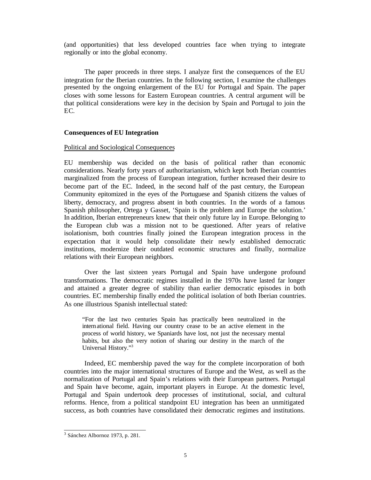(and opportunities) that less developed countries face when trying to integrate regionally or into the global economy.

The paper proceeds in three steps. I analyze first the consequences of the EU integration for the Iberian countries. In the following section, I examine the challenges presented by the ongoing enlargement of the EU for Portugal and Spain. The paper closes with some lessons for Eastern European countries. A central argument will be that political considerations were key in the decision by Spain and Portugal to join the EC.

# **Consequences of EU Integration**

#### Political and Sociological Consequences

EU membership was decided on the basis of political rather than economic considerations. Nearly forty years of authoritarianism, which kept both Iberian countries marginalized from the process of European integration, further increased their desire to become part of the EC. Indeed, in the second half of the past century, the European Community epitomized in the eyes of the Portuguese and Spanish citizens the values of liberty, democracy, and progress absent in both countries. In the words of a famous Spanish philosopher, Ortega y Gasset, 'Spain is the problem and Europe the solution.' In addition, Iberian entrepreneurs knew that their only future lay in Europe. Belonging to the European club was a mission not to be questioned. After years of relative isolationism, both countries finally joined the European integration process in the expectation that it would help consolidate their newly established democratic institutions, modernize their outdated economic structures and finally, normalize relations with their European neighbors.

Over the last sixteen years Portugal and Spain have undergone profound transformations. The democratic regimes installed in the 1970s have lasted far longer and attained a greater degree of stability than earlier democratic episodes in both countries. EC membership finally ended the political isolation of both Iberian countries. As one illustrious Spanish intellectual stated:

"For the last two centuries Spain has practically been neutralized in the international field. Having our country cease to be an active element in the process of world history, we Spaniards have lost, not just the necessary mental habits, but also the very notion of sharing our destiny in the march of the Universal History."<sup>3</sup>

Indeed, EC membership paved the way for the complete incorporation of both countries into the major international structures of Europe and the West, as well as the normalization of Portugal and Spain's relations with their European partners. Portugal and Spain have become, again, important players in Europe. At the domestic level, Portugal and Spain undertook deep processes of institutional, social, and cultural reforms. Hence, from a political standpoint EU integration has been an unmitigated success, as both countries have consolidated their democratic regimes and institutions.

<sup>3</sup> Sánchez Albornoz 1973, p. 281.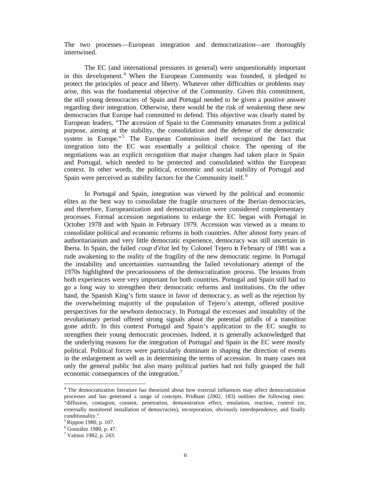The two processes—European integration and democratization—are thoroughly intertwined.

The EC (and international pressures in general) were unquestionably important in this development.<sup>4</sup> When the European Community was founded, it pledged to protect the principles of peace and liberty. Whatever other difficulties or problems may arise, this was the fundamental objective of the Community. Given this commitment, the still young democracies of Spain and Portugal needed to be given a positive answer regarding their integration. Otherwise, there would be the risk of weakening these new democracies that Europe had committed to defend. This objective was clearly stated by European leaders, "The accession of Spain to the Community emanates from a political purpose, aiming at the stability, the consolidation and the defense of the democratic system in Europe."<sup>5</sup> The European Commission itself recognized the fact that integration into the EC was essentially a political choice. The opening of the negotiations was an explicit recognition that major changes had taken place in Spain and Portugal, which needed to be protected and consolidated within the European context. In other words, the political, economic and social stability of Portugal and Spain were perceived as stability factors for the Community itself.<sup>6</sup>

In Portugal and Spain, integration was viewed by the political and economic elites as the best way to consolidate the fragile structures of the Iberian democracies, and therefore, Europeanization and democratization were considered complementary processes. Formal accession negotiations to enlarge the EC began with Portugal in October 1978 and with Spain in February 1979. Accession was viewed as a means to consolidate political and economic reforms in both countries. After almost forty years of authoritarianism and very little democratic experience, democracy was still uncertain in Iberia. In Spain, the failed *coup d'état* led by Colonel Tejero in February of 1981 was a rude awakening to the reality of the fragility of the new democratic regime. In Portugal the instability and uncertainties surrounding the failed revolutionary attempt of the 1970s highlighted the precariousness of the democratization process. The lessons from both experiences were very important for both countries. Portugal and Spain still had to go a long way to strengthen their democratic reforms and institutions. On the other hand, the Spanish King's firm stance in favor of democracy, as well as the rejection by the overwhelming majority of the population of Tejero's attempt, offered positive perspectives for the newborn democracy. In Portugal the excesses and instability of the revolutionary period offered strong signals about the potential pitfalls of a transition gone adrift. In this context Portugal and Spain's application to the EC sought to strengthen their young democratic processes. Indeed, it is generally acknowledged that the underlying reasons for the integration of Portugal and Spain in the EC were mostly political. Political forces were particularly dominant in shaping the direction of events in the enlargement as well as in determining the terms of accession. In many cases not only the general public but also many political parties had not fully grasped the full economic consequences of the integration.<sup>7</sup>

<sup>&</sup>lt;sup>4</sup> The democratization literature has theorized about how external influences may affect democratization processes and has generated a range of concepts. Pridham (2002, 183) outlines the following ones: "diffusion, contagion, consent, penetration, demonstration effect, emulation, reaction, control (or, externally monitored installation of democracies), incorporation, obviously interdependence, and finally conditionality."

<sup>5</sup> Rippon 1980, p. 107.

<sup>6</sup> González 1980, p. 47.

<sup>7</sup> Vaitsos 1982, p. 243.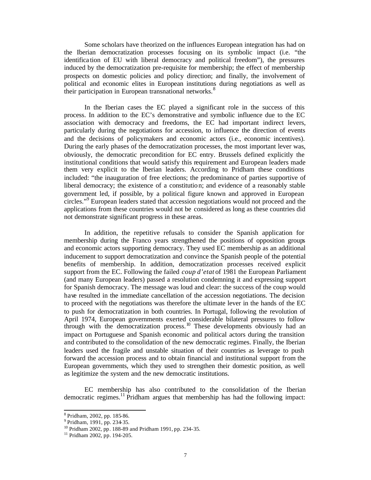Some scholars have theorized on the influences European integration has had on the Iberian democratization processes focusing on its symbolic impact (i.e. "the identifica tion of EU with liberal democracy and political freedom"), the pressures induced by the democratization pre-requisite for membership; the effect of membership prospects on domestic policies and policy direction; and finally, the involvement of political and economic elites in European institutions during negotiations as well as their participation in European transnational networks.<sup>8</sup>

In the Iberian cases the EC played a significant role in the success of this process. In addition to the EC's demonstrative and symbolic influence due to the EC association with democracy and freedoms, the EC had important indirect levers, particularly during the negotiations for accession, to influence the direction of events and the decisions of policymakers and economic actors (i.e., economic incentives). During the early phases of the democratization processes, the most important lever was, obviously, the democratic precondition for EC entry. Brussels defined explicitly the institutional conditions that would satisfy this requirement and European leaders made them very explicit to the Iberian leaders. According to Pridham these conditions included: "the inauguration of free elections; the predominance of parties supportive of liberal democracy; the existence of a constitutio n; and evidence of a reasonably stable government led, if possible, by a political figure known and approved in European circles."<sup>9</sup> European leaders stated that accession negotiations would not proceed and the applications from these countries would not be considered as long as these countries did not demonstrate significant progress in these areas.

In addition, the repetitive refusals to consider the Spanish application for membership during the Franco years strengthened the positions of opposition groups and economic actors supporting democracy. They used EC membership as an additional inducement to support democratization and convince the Spanish people of the potential benefits of membership. In addition, democratization processes received explicit support from the EC. Following the failed *coup d'etat* of 1981 the European Parliament (and many European leaders) passed a resolution condemning it and expressing support for Spanish democracy. The message was loud and clear: the success of the coup would have resulted in the immediate cancellation of the accession negotiations. The decision to proceed with the negotiations was therefore the ultimate lever in the hands of the EC to push for democratization in both countries. In Portugal, following the revolution of April 1974, European governments exerted considerable bilateral pressures to follow through with the democratization process.<sup>10</sup> These developments obviously had an impact on Portuguese and Spanish economic and political actors during the transition and contributed to the consolidation of the new democratic regimes. Finally, the Iberian leaders used the fragile and unstable situation of their countries as leverage to push forward the accession process and to obtain financial and institutional support from the European governments, which they used to strengthen their domestic position, as well as legitimize the system and the new democratic institutions.

EC membership has also contributed to the consolidation of the Iberian democratic regimes.<sup>11</sup> Pridham argues that membership has had the following impact:

 8 Pridham, 2002, pp. 185-86.

<sup>9</sup> Pridham, 1991, pp. 234-35.

<sup>10</sup> Pridham 2002, pp. 188-89 and Pridham 1991, pp. 234-35.

<sup>11</sup> Pridham 2002, pp. 194-205.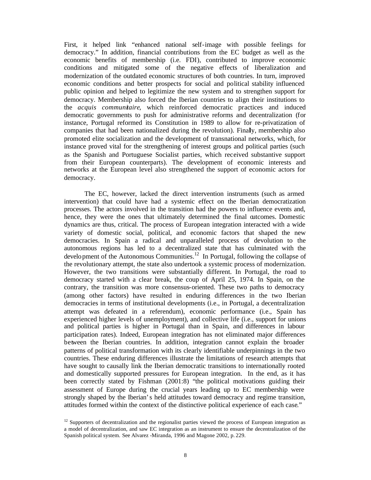First, it helped link "enhanced national self-image with possible feelings for democracy." In addition, financial contributions from the EC budget as well as the economic benefits of membership (i.e. FDI), contributed to improve economic conditions and mitigated some of the negative effects of liberalization and modernization of the outdated economic structures of both countries. In turn, improved economic conditions and better prospects for social and political stability influenced public opinion and helped to legitimize the new system and to strengthen support for democracy. Membership also forced the Iberian countries to align their institutions to the *acquis communitaire*, which reinforced democratic practices and induced democratic governments to push for administrative reforms and decentralization (for instance, Portugal reformed its Constitution in 1989 to allow for re-privatization of companies that had been nationalized during the revolution). Finally, membership also promoted elite socialization and the development of transnational networks, which, for instance proved vital for the strengthening of interest groups and political parties (such as the Spanish and Portuguese Socialist parties, which received substantive support from their European counterparts). The development of economic interests and networks at the European level also strengthened the support of economic actors for democracy.

The EC, however, lacked the direct intervention instruments (such as armed intervention) that could have had a systemic effect on the Iberian democratization processes. The actors involved in the transition had the powers to influence events and, hence, they were the ones that ultimately determined the final outcomes. Domestic dynamics are thus, critical. The process of European integration interacted with a wide variety of domestic social, political, and economic factors that shaped the new democracies. In Spain a radical and unparalleled process of devolution to the autonomous regions has led to a decentralized state that has culminated with the development of the Autonomous Communities.<sup>12</sup> In Portugal, following the collapse of the revolutionary attempt, the state also undertook a systemic process of modernization. However, the two transitions were substantially different. In Portugal, the road to democracy started with a clear break, the coup of April 25, 1974. In Spain, on the contrary, the transition was more consensus-oriented. These two paths to democracy (among other factors) have resulted in enduring differences in the two Iberian democracies in terms of institutional developments (i.e., in Portugal, a decentralization attempt was defeated in a referendum), economic performance (i.e., Spain has experienced higher levels of unemployment), and collective life (i.e., support for unions and political parties is higher in Portugal than in Spain, and differences in labour participation rates). Indeed, European integration has not eliminated major differences between the Iberian countries. In addition, integration cannot explain the broader patterns of political transformation with its clearly identifiable underpinnings in the two countries. These enduring differences illustrate the limitations of research attempts that have sought to causally link the Iberian democratic transitions to internationally rooted and domestically supported pressures for European integration. In the end, as it has been correctly stated by Fishman (2001:8) "the political motivations guiding their assessment of Europe during the crucial years leading up to EC membership were strongly shaped by the Iberian's held attitudes toward democracy and regime transition, attitudes formed within the context of the distinctive political experience of each case."

 $12$  Supporters of decentralization and the regionalist parties viewed the process of European integration as a model of decentralization, and saw EC integration as an instrument to ensure the decentralization of the Spanish political system. See Alvarez -Miranda, 1996 and Magone 2002, p. 229.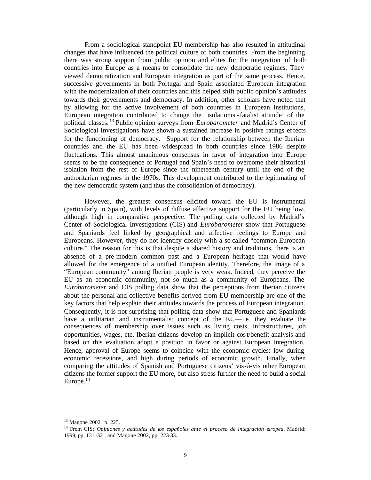From a sociological standpoint EU membership has also resulted in attitudinal changes that have influenced the political culture of both countries. From the beginning there was strong support from public opinion and elites for the integration of both countries into Europe as a means to consolidate the new democratic regimes. They viewed democratization and European integration as part of the same process. Hence, successive governments in both Portugal and Spain associated European integration with the modernization of their countries and this helped shift public opinion's attitudes towards their governments and democracy. In addition, other scholars have noted that by allowing for the active involvement of both countries in European institutions, European integration contributed to change the 'isolationist-fatalist attitude' of the political classes. <sup>13</sup> Public opinion surveys from *Eurobarometer* and Madrid's Center of Sociological Investigations have shown a sustained increase in positive ratings effects for the functioning of democracy. Support for the relationship between the Iberian countries and the EU has been widespread in both countries since 1986 despite fluctuations. This almost unanimous consensus in favor of integration into Europe seems to be the consequence of Portugal and Spain's need to overcome their historical isolation from the rest of Europe since the nineteenth century until the end of the authoritarian regimes in the 1970s. This development contributed to the legitimating of the new democratic system (and thus the consolidation of democracy).

However, the greatest consensus elicited toward the EU is instrumental (particularly in Spain), with levels of diffuse affective support for the EU being low, although high in comparative perspective. The polling data collected by Madrid's Center of Sociological Investigations (CIS) and *Eurobarometer* show that Portuguese and Spaniards feel linked by geographical and affective feelings to Europe and Europeans. However, they do not identify cbsely with a so-called "common European" culture." The reason for this is that despite a shared history and traditions, there is an absence of a pre-modern common past and a European heritage that would have allowed for the emergence of a unified European identity. Therefore, the image of a "European community" among Iberian people is very weak. Indeed, they perceive the EU as an economic community, not so much as a community of Europeans. The *Eurobarometer* and CIS polling data show that the perceptions from Iberian citizens about the personal and collective benefits derived from EU membership are one of the key factors that help explain their attitudes towards the process of European integration. Consequently, it is not surprising that polling data show that Portuguese and Spaniards have a utilitarian and instrumentalist concept of the EU—i.e. they evaluate the consequences of membership over issues such as living costs, infrastructures, job opportunities, wages, etc. Iberian citizens develop an implicit cost/benefit analysis and based on this evaluation adopt a position in favor or against European integration. Hence, approval of Europe seems to coincide with the economic cycles: low during economic recessions, and high during periods of economic growth. Finally, when comparing the attitudes of Spanish and Portuguese citizens' vis-à-vis other European citizens the former support the EU more, but also stress further the need to build a social Europe. $^{14}$ 

<sup>13</sup> Magone 2002, p. 225.

<sup>&</sup>lt;sup>14</sup> From CIS: *Opiniones y actitudes de los españoles ante el proceso de integración aropea*. Madrid: 1999, pp, 131 -32 ; and Magone 2002, pp. 223-33.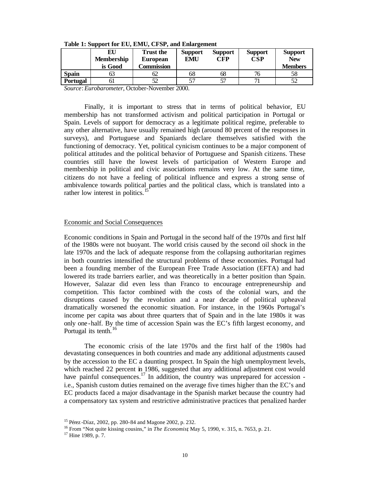|                 | ЕU<br><b>Membership</b><br>is Good | <b>Trust the</b><br><b>European</b><br>Commission | <b>Support</b><br><b>EMU</b> | <b>Support</b><br>CFP | <b>Support</b><br><b>CSP</b> | <b>Support</b><br><b>New</b><br><b>Members</b> |
|-----------------|------------------------------------|---------------------------------------------------|------------------------------|-----------------------|------------------------------|------------------------------------------------|
| <b>Spain</b>    | ხა                                 | 62                                                | 68                           | 68                    | 76                           | 58                                             |
| <b>Portugal</b> | 01                                 | 52                                                |                              |                       |                              |                                                |

**Table 1: Support for EU, EMU, CFSP, and Enlargement**

*Source*: *Eurobarometer*, October-November 2000.

Finally, it is important to stress that in terms of political behavior, EU membership has not transformed activism and political participation in Portugal or Spain. Levels of support for democracy as a legitimate political regime, preferable to any other alternative, have usually remained high (around 80 percent of the responses in surveys), and Portuguese and Spaniards declare themselves satisfied with the functioning of democracy. Yet, political cynicism continues to be a major component of political attitudes and the political behavior of Portuguese and Spanish citizens. These countries still have the lowest levels of participation of Western Europe and membership in political and civic associations remains very low. At the same time, citizens do not have a feeling of political influence and express a strong sense of ambivalence towards political parties and the political class, which is translated into a rather low interest in politics.<sup>15</sup>

#### Economic and Social Consequences

Economic conditions in Spain and Portugal in the second half of the 1970s and first half of the 1980s were not buoyant. The world crisis caused by the second oil shock in the late 1970s and the lack of adequate response from the collapsing authoritarian regimes in both countries intensified the structural problems of these economies. Portugal had been a founding member of the European Free Trade Association (EFTA) and had lowered its trade barriers earlier, and was theoretically in a better position than Spain. However, Salazar did even less than Franco to encourage entrepreneurship and competition. This factor combined with the costs of the colonial wars, and the disruptions caused by the revolution and a near decade of political upheaval dramatically worsened the economic situation. For instance, in the 1960s Portugal's income per capita was about three quarters that of Spain and in the late 1980s it was only one -half. By the time of accession Spain was the EC's fifth largest economy, and Portugal its tenth. $16$ 

The economic crisis of the late 1970s and the first half of the 1980s had devastating consequences in both countries and made any additional adjustments caused by the accession to the EC a daunting prospect. In Spain the high unemployment levels, which reached 22 percent in 1986, suggested that any additional adjustment cost would have painful consequences.<sup>17</sup> In addition, the country was unprepared for accession i.e., Spanish custom duties remained on the average five times higher than the EC's and EC products faced a major disadvantage in the Spanish market because the country had a compensatory tax system and restrictive administrative practices that penalized harder

<sup>&</sup>lt;sup>15</sup> Pérez -Díaz, 2002, pp. 280-84 and Magone 2002, p. 232.

<sup>16</sup> From "Not quite kissing cousins," in *The Economist*, May 5, 1990, v. 315, n. 7653, p. 21.

 $17$  Hine 1989, p. 7.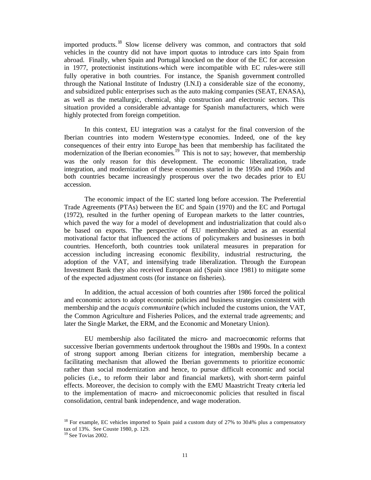imported products.<sup>18</sup> Slow license delivery was common, and contractors that sold vehicles in the country did not have import quotas to introduce cars into Spain from abroad. Finally, when Spain and Portugal knocked on the door of the EC for accession in 1977, protectionist institutions-which were incompatible with EC rules-were still fully operative in both countries. For instance, the Spanish government controlled through the National Institute of Industry (I.N.I) a considerable size of the economy, and subsidized public enterprises such as the auto making companies (SEAT, ENASA), as well as the metallurgic, chemical, ship construction and electronic sectors. This situation provided a considerable advantage for Spanish manufacturers, which were highly protected from foreign competition.

In this context, EU integration was a catalyst for the final conversion of the Iberian countries into modern Western-type economies. Indeed, one of the key consequences of their entry into Europe has been that membership has facilitated the modernization of the Iberian economies.<sup>19</sup> This is not to say; however, that membership was the only reason for this development. The economic liberalization, trade integration, and modernization of these economies started in the 1950s and 1960s and both countries became increasingly prosperous over the two decades prior to EU accession.

The economic impact of the EC started long before accession. The Preferential Trade Agreements (PTAs) between the EC and Spain (1970) and the EC and Portugal (1972), resulted in the further opening of European markets to the latter countries, which paved the way for a model of development and industrialization that could als o be based on exports. The perspective of EU membership acted as an essential motivational factor that influenced the actions of policymakers and businesses in both countries. Henceforth, both countries took unilateral measures in preparation for accession including increasing economic flexibility, industrial restructuring, the adoption of the VAT, and intensifying trade liberalization. Through the European Investment Bank they also received European aid (Spain since 1981) to mitigate some of the expected adjustment costs (for instance on fisheries).

In addition, the actual accession of both countries after 1986 forced the political and economic actors to adopt economic policies and business strategies consistent with membership and the *acquis communitaire* (which included the customs union, the VAT, the Common Agriculture and Fisheries Polices, and the external trade agreements; and later the Single Market, the ERM, and the Economic and Monetary Union).

EU membership also facilitated the micro- and macroeconomic reforms that successive Iberian governments undertook throughout the 1980s and 1990s. In a context of strong support among Iberian citizens for integration, membership became a facilitating mechanism that allowed the Iberian governments to prioritize economic rather than social modernization and hence, to pursue difficult economic and social policies (i.e., to reform their labor and financial markets), with short-term painful effects. Moreover, the decision to comply with the EMU Maastricht Treaty criteria led to the implementation of macro- and microeconomic policies that resulted in fiscal consolidation, central bank independence, and wage moderation.

 $18$  For example, EC vehicles imported to Spain paid a custom duty of 27% to 304% plus a compensatory tax of 13%. See Couste 1980, p. 129.

 $19$  See Tovias 2002.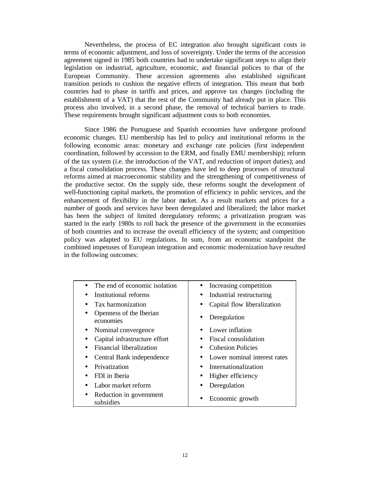Nevertheless, the process of EC integration also brought significant costs in terms of economic adjustment, and loss of sovereignty. Under the terms of the accession agreement signed in 1985 both countries had to undertake significant steps to align their legislation on industrial, agriculture, economic, and financial polices to that of the European Community. These accession agreements also established significant transition periods to cushion the negative effects of integration. This meant that both countries had to phase in tariffs and prices, and approve tax changes (including the establishment of a VAT) that the rest of the Community had already put in place. This process also involved, in a second phase, the removal of technical barriers to trade. These requirements brought significant adjustment costs to both economies.

Since 1986 the Portuguese and Spanish economies have undergone profound economic changes. EU membership has led to policy and institutional reforms in the following economic areas: monetary and exchange rate policies (first independent coordination, followed by accession to the ERM, and finally EMU membership); reform of the tax system (i.e. the introduction of the VAT, and reduction of import duties); and a fiscal consolidation process. These changes have led to deep processes of structural reforms aimed at macroeconomic stability and the strengthening of competitiveness of the productive sector. On the supply side, these reforms sought the development of well-functioning capital markets, the promotion of efficiency in public services, and the enhancement of flexibility in the labor market. As a result markets and prices for a number of goods and services have been deregulated and liberalized; the labor market has been the subject of limited deregulatory reforms; a privatization program was started in the early 1980s to roll back the presence of the government in the economies of both countries and to increase the overall efficiency of the system; and competition policy was adapted to EU regulations. In sum, from an economic standpoint the combined impetuses of European integration and economic modernization have resulted in the following outcomes:

| The end of economic isolation        | Increasing competition                   |
|--------------------------------------|------------------------------------------|
| Institutional reforms                | Industrial restructuring<br>$\bullet$    |
| Tax harmonization                    | Capital flow liberalization<br>$\bullet$ |
| Openness of the Iberian<br>economies | Deregulation<br>$\bullet$                |
| Nominal convergence                  | Lower inflation                          |
| Capital infrastructure effort        | Fiscal consolidation                     |
| Financial liberalization             | <b>Cohesion Policies</b>                 |
| Central Bank independence            | Lower nominal interest rates             |
| Privatization                        | Internationalization<br>$\bullet$        |
| FDI in Iberia                        | Higher efficiency                        |
| Labor market reform                  | Deregulation<br>٠                        |
| Reduction in government<br>subsidies | Economic growth<br>$\bullet$             |
|                                      |                                          |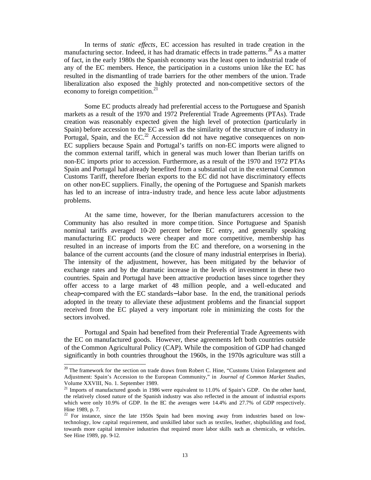In terms of *static effects*, EC accession has resulted in trade creation in the manufacturing sector. Indeed, it has had dramatic effects in trade patterns.<sup>20</sup> As a matter of fact, in the early 1980s the Spanish economy was the least open to industrial trade of any of the EC members. Hence, the participation in a customs union like the EC has resulted in the dismantling of trade barriers for the other members of the union. Trade liberalization also exposed the highly protected and non-competitive sectors of the economy to foreign competition.<sup>21</sup>

Some EC products already had preferential access to the Portuguese and Spanish markets as a result of the 1970 and 1972 Preferential Trade Agreements (PTAs). Trade creation was reasonably expected given the high level of protection (particularly in Spain) before accession to the EC as well as the similarity of the structure of industry in Portugal, Spain, and the  $EC^2$  Accession did not have negative consequences on non-EC suppliers because Spain and Portugal's tariffs on non-EC imports were aligned to the common external tariff, which in general was much lower than Iberian tariffs on non-EC imports prior to accession. Furthermore, as a result of the 1970 and 1972 PTAs Spain and Portugal had already benefited from a substantial cut in the external Common Customs Tariff, therefore Iberian exports to the EC did not have discriminatory effects on other non-EC suppliers. Finally, the opening of the Portuguese and Spanish markets has led to an increase of intra-industry trade, and hence less acute labor adjustments problems.

At the same time, however, for the Iberian manufacturers accession to the Community has also resulted in more compe tition. Since Portuguese and Spanish nominal tariffs averaged 10-20 percent before EC entry, and generally speaking manufacturing EC products were cheaper and more competitive, membership has resulted in an increase of imports from the EC and therefore, on a worsening in the balance of the current accounts (and the closure of many industrial enterprises in Iberia). The intensity of the adjustment, however, has been mitigated by the behavior of exchange rates and by the dramatic increase in the levels of investment in these two countries. Spain and Portugal have been attractive production bases since together they offer access to a large market of 48 million people, and a well-educated and cheap−compared with the EC standards−labor base. In the end, the transitional periods adopted in the treaty to alleviate these adjustment problems and the financial support received from the EC played a very important role in minimizing the costs for the sectors involved.

Portugal and Spain had benefited from their Preferential Trade Agreements with the EC on manufactured goods. However, these agreements left both countries outside of the Common Agricultural Policy (CAP). While the composition of GDP had changed significantly in both countries throughout the 1960s, in the 1970s agriculture was still a

 $20$  The framework for the section on trade draws from Robert C. Hine, "Customs Union Enlargement and Adjustment: Spain's Accession to the European Community," in *Journal of Common Market Studies*, Volume XXVIII, No. 1. September 1989.

<sup>&</sup>lt;sup>21</sup> Imports of manufactured goods in 1986 were equivalent to 11.0% of Spain's GDP. On the other hand, the relatively closed nature of the Spanish industry was also reflected in the amount of industrial exports which were only 10.9% of GDP. In the EC the averages were 14.4% and 27.7% of GDP respectively. Hine 1989, p. 7.

 $22$  For instance, since the late 1950s Spain had been moving away from industries based on lowtechnology, low capital requirement, and unskilled labor such as textiles, leather, shipbuilding and food, towards more capital intensive industries that required more labor skills such as chemicals, or vehicles. See Hine 1989, pp. 9-12.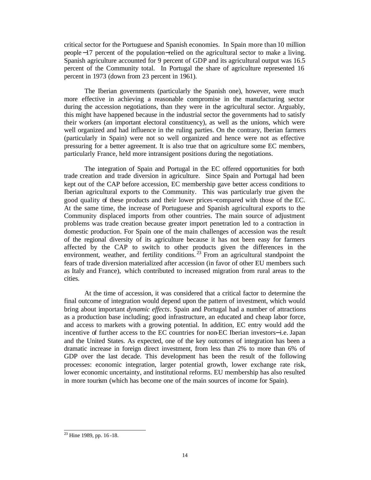critical sector for the Portuguese and Spanish economies. In Spain more than 10 million people−17 percent of the population−relied on the agricultural sector to make a living. Spanish agriculture accounted for 9 percent of GDP and its agricultural output was 16.5 percent of the Community total. In Portugal the share of agriculture represented 16 percent in 1973 (down from 23 percent in 1961).

The Iberian governments (particularly the Spanish one), however, were much more effective in achieving a reasonable compromise in the manufacturing sector during the accession negotiations, than they were in the agricultural sector. Arguably, this might have happened because in the industrial sector the governments had to satisfy their workers (an important electoral constituency), as well as the unions, which were well organized and had influence in the ruling parties. On the contrary, Iberian farmers (particularly in Spain) were not so well organized and hence were not as effective pressuring for a better agreement. It is also true that on agriculture some EC members, particularly France, held more intransigent positions during the negotiations.

The integration of Spain and Portugal in the EC offered opportunities for both trade creation and trade diversion in agriculture. Since Spain and Portugal had been kept out of the CAP before accession, EC membership gave better access conditions to Iberian agricultural exports to the Community. This was particularly true given the good quality of these products and their lower prices−compared with those of the EC. At the same time, the increase of Portuguese and Spanish agricultural exports to the Community displaced imports from other countries. The main source of adjustment problems was trade creation because greater import penetration led to a contraction in domestic production. For Spain one of the main challenges of accession was the result of the regional diversity of its agriculture because it has not been easy for farmers affected by the CAP to switch to other products given the differences in the environment, weather, and fertility conditions.<sup>23</sup> From an agricultural standpoint the fears of trade diversion materialized after accession (in favor of other EU members such as Italy and France), which contributed to increased migration from rural areas to the cities.

At the time of accession, it was considered that a critical factor to determine the final outcome of integration would depend upon the pattern of investment, which would bring about important *dynamic effects*. Spain and Portugal had a number of attractions as a production base including; good infrastructure, an educated and cheap labor force, and access to markets with a growing potential. In addition, EC entry would add the incentive of further access to the EC countries for non-EC Iberian investors−i.e. Japan and the United States. As expected, one of the key outcomes of integration has been a dramatic increase in foreign direct investment, from less than 2% to more than 6% of GDP over the last decade. This development has been the result of the following processes: economic integration, larger potential growth, lower exchange rate risk, lower economic uncertainty, and institutional reforms. EU membership has also resulted in more tourism (which has become one of the main sources of income for Spain).

<sup>&</sup>lt;sup>23</sup> Hine 1989, pp. 16 -18.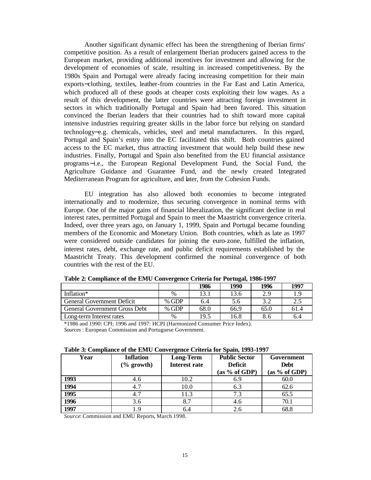Another significant dynamic effect has been the strengthening of Iberian firms' competitive position. As a result of enlargement Iberian producers gained access to the European market, providing additional incentives for investment and allowing for the development of economies of scale, resulting in increased competitiveness. By the 1980s Spain and Portugal were already facing increasing competition for their main exports−clothing, textiles, leather-from countries in the Far East and Latin America, which produced all of these goods at cheaper costs exploiting their low wages. As a result of this development, the latter countries were attracting foreign investment in sectors in which traditionally Portugal and Spain had been favored. This situation convinced the Iberian leaders that their countries had to shift toward more capitalintensive industries requiring greater skills in the labor force but relying on standard technology−e.g. chemicals, vehicles, steel and metal manufacturers. In this regard, Portugal and Spain's entry into the EC facilitated this shift. Both countries gained access to the EC market, thus attracting investment that would help build these new industries. Finally, Portugal and Spain also benefited from the EU financial assistance programs−i.e., the European Regional Development Fund, the Social Fund, the Agriculture Guidance and Guarantee Fund, and the newly created Integrated Mediterranean Program for agriculture, and later, from the Cohesion Funds.

EU integration has also allowed both economies to become integrated internationally and to modernize, thus securing convergence in nominal terms with Europe. One of the major gains of financial liberalization, the significant decline in real interest rates, permitted Portugal and Spain to meet the Maastricht convergence criteria. Indeed, over three years ago, on January 1, 1999, Spain and Portugal became founding members of the Economic and Monetary Union. Both countries, which as late as 1997 were considered outside candidates for joining the euro-zone, fulfilled the inflation, interest rates, debt, exchange rate, and public deficit requirements established by the Maastricht Treaty. This development confirmed the nominal convergence of both countries with the rest of the EU.

|                                      |         | 1986 | 1990 | 1996 | 1997 |
|--------------------------------------|---------|------|------|------|------|
| Inflation*                           | $\%$    | 13.1 | 13.6 | 2.9  |      |
| <b>General Government Deficit</b>    | $%$ GDP | 6.4  | 5.6  |      | 2.5  |
| <b>General Government Gross Debt</b> | $%$ GDP | 68.0 | 66.9 | 65.0 | 61.4 |
| Long-term Interest rates             | $\%$    | 19.5 | 16.8 | 8.6  | 6.4  |

**Table 2: Compliance of the EMU Convergence Criteria for Portugal, 1986-1997**

\*1986 and 1990: CPI; 1996 and 1997: HCPI (Harmonized Consumer Price Index). *Sources* : European Commission and Portuguese Government.

|  |  |  | Table 3: Compliance of the EMU Convergence Criteria for Spain, 1993-1997 |  |  |  |  |
|--|--|--|--------------------------------------------------------------------------|--|--|--|--|
|  |  |  |                                                                          |  |  |  |  |

| Year | <b>Inflation</b><br>$\frac{6}{6}$ growth) | <b>Long-Term</b><br>Interest rate | <b>Public Sector</b><br><b>Deficit</b> | Government<br><b>Debt</b> |
|------|-------------------------------------------|-----------------------------------|----------------------------------------|---------------------------|
|      |                                           |                                   | (as % of GDP)                          | (as % of GDP)             |
| 1993 | 4.6                                       | 10.2                              | 6.9                                    | 60.0                      |
| 1994 | 4.7                                       | 10.0                              | 6.3                                    | 62.6                      |
| 1995 | 4.7                                       | 11.3                              | 7.3                                    | 65.5                      |
| 1996 | 3.6                                       | 8.7                               | 4.6                                    | 70.1                      |
| 1997 |                                           |                                   | 2.6                                    | 68.8                      |

*Source*: Commission and EMU Reports, March 1998.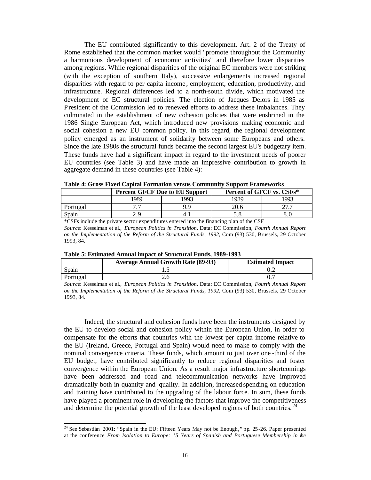The EU contributed significantly to this development. Art. 2 of the Treaty of Rome established that the common market would "promote throughout the Community a harmonious development of economic ac tivities" and therefore lower disparities among regions. While regional disparities of the original EC members were not striking (with the exception of southern Italy), successive enlargements increased regional disparities with regard to per capita income , employment, education, productivity, and infrastructure. Regional differences led to a north-south divide, which motivated the development of EC structural policies. The election of Jacques Delors in 1985 as President of the Commission led to renewed efforts to address these imbalances. They culminated in the establishment of new cohesion policies that were enshrined in the 1986 Single European Act, which introduced new provisions making economic and social cohesion a new EU common policy. In this regard, the regional development policy emerged as an instrument of solidarity between some Europeans and others. Since the late 1980s the structural funds became the second largest EU's budgetary item. These funds have had a significant impact in regard to the investment needs of poorer EU countries (see Table 3) and have made an impressive contribution to growth in aggregate demand in these countries (see Table 4):

|          |       | <b>Percent GFCF Due to EU Support</b> | Percent of GFCF vs. CSFs* |      |  |
|----------|-------|---------------------------------------|---------------------------|------|--|
|          | '989  | 1993                                  | 1989                      | 1993 |  |
| Portugal |       |                                       | 20.6                      |      |  |
| Spain    | ر . ب |                                       | ں. ب                      |      |  |

**Table 4: Gross Fixed Capital Formation versus Community Support Frameworks**

\*CSFs include the private sector expenditures entered into the financing plan of the CSF *Source*: Kesselman et al., *European Politics in Transition*. Data: EC Commission, *Fourth Annual Report on the Implementation of the Reform of the Structural Funds, 1992*, Com (93) 530, Brussels, 29 October 1993, 84.

| Table 5: Estimated Annual impact of Structural Funds, 1989-1993 |  |  |  |  |  |  |  |  |
|-----------------------------------------------------------------|--|--|--|--|--|--|--|--|
|-----------------------------------------------------------------|--|--|--|--|--|--|--|--|

l

|          | <b>Average Annual Growth Rate (89-93)</b> | <b>Estimated Impact</b> |
|----------|-------------------------------------------|-------------------------|
| Spain    |                                           |                         |
| Portugal | Z.U                                       |                         |

*Source*: Kesselman et al., *European Politics in Transition*. Data: EC Commission, *Fourth Annual Report on the Implementation of the Reform of the Structural Funds, 1992*, Com (93) 530, Brussels, 29 October 1993, 84.

Indeed, the structural and cohesion funds have been the instruments designed by the EU to develop social and cohesion policy within the European Union, in order to compensate for the efforts that countries with the lowest per capita income relative to the EU (Ireland, Greece, Portugal and Spain) would need to make to comply with the nominal convergence criteria. These funds, which amount to just over one -third of the EU budget, have contributed significantly to reduce regional disparities and foster convergence within the European Union. As a result major infrastructure shortcomings have been addressed and road and telecommunication networks have improved dramatically both in quantity and quality. In addition, increased spending on education and training have contributed to the upgrading of the labour force. In sum, these funds have played a prominent role in developing the factors that improve the competitiveness and determine the potential growth of the least developed regions of both countries.  $^{24}$ 

 $24$  See Sebastián 2001: "Spain in the EU: Fifteen Years May not be Enough," pp. 25-26. Paper presented at the conference *From Isolation to Europe: 15 Years of Spanish and Portuguese Membership in the*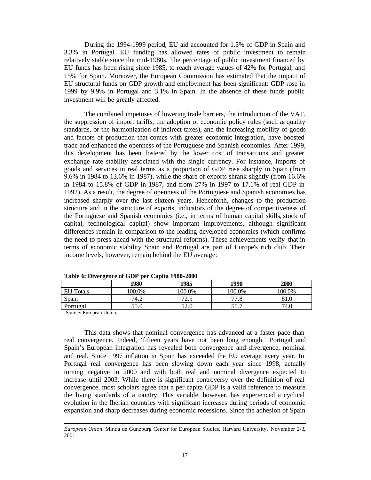During the 1994-1999 period, EU aid accounted for 1.5% of GDP in Spain and 3.3% in Portugal. EU funding has allowed rates of public investment to remain relatively stable since the mid-1980s. The percentage of public investment financed by EU funds has been rising since 1985, to reach average values of 42% for Portugal, and 15% for Spain. Moreover, the European Commission has estimated that the impact of EU structural funds on GDP growth and employment has been significant: GDP rose in 1999 by 9.9% in Portugal and 3.1% in Spain. In the absence of these funds public investment will be greatly affected.

The combined impetuses of lowering trade barriers, the introduction of the VAT, the suppression of import tariffs, the adoption of economic policy rules (such as quality standards, or the harmonization of indirect taxes), and the increasing mobility of goods and factors of production that comes with greater economic integration, have boosted trade and enhanced the openness of the Portuguese and Spanish economies. After 1999, this development has been fostered by the lower cost of transactions and greater exchange rate stability associated with the single currency. For instance, imports of goods and services in real terms as a proportion of GDP rose sharply in Spain (from 9.6% in 1984 to 13.6% in 1987), while the share of exports shrank slightly (from 16.6% in 1984 to 15.8% of GDP in 1987, and from 27% in 1997 to 17.1% of real GDP in 1992). As a result, the degree of openness of the Portuguese and Spanish economies has increased sharply over the last sixteen years. Henceforth, changes to the production structure and in the structure of exports, indicators of the degree of competitiveness of the Portuguese and Spanish economies (i.e., in terms of human capital skills, stock of capital, technological capital) show important improvements, although significant differences remain in comparison to the leading developed economies (which confirms the need to press ahead with the structural reforms). These achievements verify that in terms of economic stability Spain and Portugal are part of Europe's rich club. Their income levels, however, remain behind the EU average:

|              | 1980         | 1985        | 1990                 | 2000   |
|--------------|--------------|-------------|----------------------|--------|
| EU<br>Totals | 100.0%       | 100.0%      | 100.0%               | 100.0% |
| Spain        | 74.2         | 72E<br>ر. ، | 77 C<br>$\sqrt{1.0}$ | 81.0   |
| Portugal     | ז גי<br>JJ.V | ו רא<br>∪۰⊿ | 55<br>JJ . 1         | 74.0   |

| Table 6: Divergence of GDP per Capita 1980-2000 |  |  |  |  |  |
|-------------------------------------------------|--|--|--|--|--|
|-------------------------------------------------|--|--|--|--|--|

Source: European Union.

l

This data shows that nominal convergence has advanced at a faster pace than real convergence. Indeed, 'fifteen years have not been long enough.' Portugal and Spain's European integration has revealed both convergence and divergence, nominal and real. Since 1997 inflation in Spain has exceeded the EU average every year. In Portugal real convergence has been slowing down each year since 1998, actually turning negative in 2000 and with both real and nominal divergence expected to increase until 2003. While there is significant controversy over the definition of real convergence, most scholars agree that a per capita GDP is a valid reference to measure the living standards of a country. This variable, however, has experienced a cyclical evolution in the Iberian countries with significant increases during periods of economic expansion and sharp decreases during economic recessions. Since the adhesion of Spain

*European Union.* Minda de Gunzburg Center for European Studies, Harvard University. November 2-3, 2001.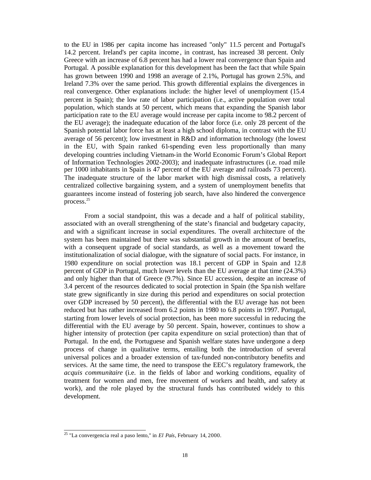to the EU in 1986 per capita income has increased "only" 11.5 percent and Portugal's 14.2 percent. Ireland's per capita income , in contrast, has increased 38 percent. Only Greece with an increase of 6.8 percent has had a lower real convergence than Spain and Portugal. A possible explanation for this development has been the fact that while Spain has grown between 1990 and 1998 an average of 2.1%, Portugal has grown 2.5%, and Ireland 7.3% over the same period. This growth differential explains the divergences in real convergence. Other explanations include: the higher level of unemployment (15.4 percent in Spain); the low rate of labor participation (i.e., active population over total population, which stands at 50 percent, which means that expanding the Spanish labor participation rate to the EU average would increase per capita income to 98.2 percent of the EU average); the inadequate education of the labor force (i.e. only 28 percent of the Spanish potential labor force has at least a high school diploma, in contrast with the EU average of 56 percent); low investment in R&D and information technology (the lowest in the EU, with Spain ranked 61-spending even less proportionally than many developing countries including Vietnam-in the World Economic Forum's Global Report of Information Technologies 2002-2003); and inadequate infrastructures (i.e. road mile per 1000 inhabitants in Spain is 47 percent of the EU average and railroads 73 percent). The inadequate structure of the labor market with high dismissal costs, a relatively centralized collective bargaining system, and a system of unemployment benefits that guarantees income instead of fostering job search, have also hindered the convergence process. $^{25}$ 

From a social standpoint, this was a decade and a half of political stability, associated with an overall strengthening of the state's financial and budgetary capacity, and with a significant increase in social expenditures. The overall architecture of the system has been maintained but there was substantial growth in the amount of benefits, with a consequent upgrade of social standards, as well as a movement toward the institutionalization of social dialogue, with the signature of social pacts. For instance, in 1980 expenditure on social protection was 18.1 percent of GDP in Spain and 12.8 percent of GDP in Portugal, much lower levels than the EU average at that time (24.3%) and only higher than that of Greece (9.7%). Since EU accession, despite an increase of 3.4 percent of the resources dedicated to social protection in Spain (the Spa nish welfare state grew significantly in size during this period and expenditures on social protection over GDP increased by 50 percent), the differential with the EU average has not been reduced but has rather increased from 6.2 points in 1980 to 6.8 points in 1997. Portugal, starting from lower levels of social protection, has been more successful in reducing the differential with the EU average by 50 percent. Spain, however, continues to show a higher intensity of protection (per capita expenditure on social protection) than that of Portugal. In the end, the Portuguese and Spanish welfare states have undergone a deep process of change in qualitative terms, entailing both the introduction of several universal polices and a broader extension of tax-funded non-contributory benefits and services. At the same time, the need to transpose the EEC's regulatory framework, the *acquis communitaire* (i.e. in the fields of labor and working conditions, equality of treatment for women and men, free movement of workers and health, and safety at work), and the role played by the structural funds has contributed widely to this development.

<sup>25</sup> "La convergencia real a paso lento," in *El País*, February 14, 2000.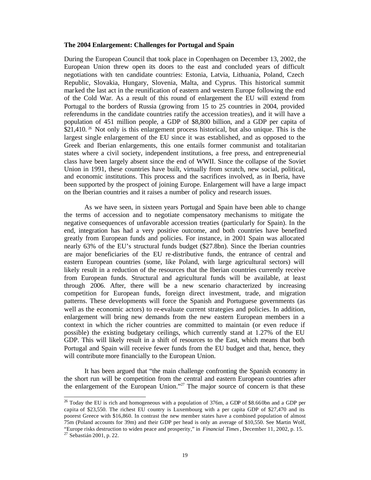#### **The 2004 Enlargement: Challenges for Portugal and Spain**

During the European Council that took place in Copenhagen on December 13, 2002, the European Union threw open its doors to the east and concluded years of difficult negotiations with ten candidate countries: Estonia, Latvia, Lithuania, Poland, Czech Republic, Slovakia, Hungary, Slovenia, Malta, and Cyprus. This historical summit marked the last act in the reunification of eastern and western Europe following the end of the Cold War. As a result of this round of enlargement the EU will extend from Portugal to the borders of Russia (growing from 15 to 25 countries in 2004, provided referendums in the candidate countries ratify the accession treaties), and it will have a population of 451 million people, a GDP of \$8,800 billion, and a GDP per capita of  $$21,410.$  <sup>26</sup> Not only is this enlargement process historical, but also unique. This is the largest single enlargement of the EU since it was established, and as opposed to the Greek and Iberian enlargements, this one entails former communist and totalitarian states where a civil society, independent institutions, a free press, and entrepreneurial class have been largely absent since the end of WWII. Since the collapse of the Soviet Union in 1991, these countries have built, virtually from scratch, new social, political, and economic institutions. This process and the sacrifices involved, as in Iberia, have been supported by the prospect of joining Europe. Enlargement will have a large impact on the Iberian countries and it raises a number of policy and research issues.

As we have seen, in sixteen years Portugal and Spain have been able to change the terms of accession and to negotiate compensatory mechanisms to mitigate the negative consequences of unfavorable accession treaties (particularly for Spain). In the end, integration has had a very positive outcome, and both countries have benefited greatly from European funds and policies. For instance, in 2001 Spain was allocated nearly 63% of the EU's structural funds budget (\$27.8bn). Since the Iberian countries are major beneficiaries of the EU re-distributive funds, the entrance of central and eastern European countries (some, like Poland, with large agricultural sectors) will likely result in a reduction of the resources that the Iberian countries currently receive from European funds. Structural and agricultural funds will be available, at least through 2006. After, there will be a new scenario characterized by increasing competition for European funds, foreign direct investment, trade, and migration patterns. These developments will force the Spanish and Portuguese governments (as well as the economic actors) to re-evaluate current strategies and policies. In addition, enlargement will bring new demands from the new eastern European members in a context in which the richer countries are committed to maintain (or even reduce if possible) the existing budgetary ceilings, which currently stand at 1.27% of the EU GDP. This will likely result in a shift of resources to the East, which means that both Portugal and Spain will receive fewer funds from the EU budget and that, hence, they will contribute more financially to the European Union.

It has been argued that "the main challenge confronting the Spanish economy in the short run will be competition from the central and eastern European countries after the enlargement of the European Union."<sup>27</sup> The major source of concern is that these

<sup>&</sup>lt;sup>26</sup> Today the EU is rich and homogeneous with a population of 376m, a GDP of \$8.660bn and a GDP per capita of \$23,550. The richest EU country is Luxembourg with a per capita GDP of \$27,470 and its poorest Greece with \$16,860. In contrast the new member states have a combined population of almost 75m (Poland accounts for 39m) and their GDP per head is only an average of \$10,550. See Martin Wolf, "Europe risks destruction to widen peace and prosperity," in *Financial Times*, December 11, 2002, p. 15.

 $27$  Sebastián 2001, p. 22.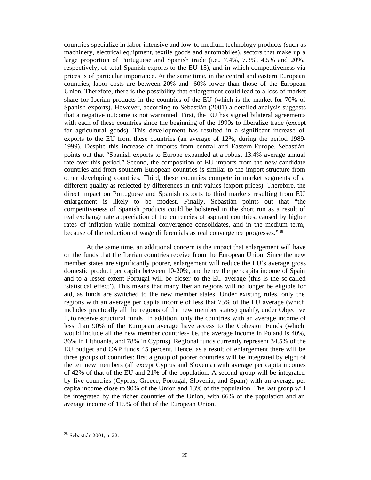countries specialize in labor-intensive and low-to-medium technology products (such as machinery, electrical equipment, textile goods and automobiles), sectors that make up a large proportion of Portuguese and Spanish trade (i.e., 7.4%, 7.3%, 4.5% and 20%, respectively, of total Spanish exports to the EU-15), and in which competitiveness via prices is of particular importance. At the same time, in the central and eastern European countries, labor costs are between 20% and 60% lower than those of the European Union. Therefore, there is the possibility that enlargement could lead to a loss of market share for Iberian products in the countries of the EU (which is the market for 70% of Spanish exports). However, according to Sebastián (2001) a detailed analysis suggests that a negative outcome is not warranted. First, the EU has signed bilateral agreements with each of these countries since the beginning of the 1990s to liberalize trade (except for agricultural goods). This deve lopment has resulted in a significant increase of exports to the EU from these countries (an average of 12%, during the period 1989- 1999). Despite this increase of imports from central and Eastern Europe, Sebastián points out that "Spanish exports to Europe expanded at a robust 13.4% average annual rate over this period." Second, the composition of EU imports from the new candidate countries and from southern European countries is similar to the import structure from other developing countries. Third, these countries compete in market segments of a different quality as reflected by differences in unit values (export prices). Therefore, the direct impact on Portuguese and Spanish exports to third markets resulting from EU enlargement is likely to be modest. Finally, Sebastián points out that "the competitiveness of Spanish products could be bolstered in the short run as a result of real exchange rate appreciation of the currencies of aspirant countries, caused by higher rates of inflation while nominal convergence consolidates, and in the medium term, because of the reduction of wage differentials as real convergence progresses." <sup>28</sup>

 At the same time, an additional concern is the impact that enlargement will have on the funds that the Iberian countries receive from the European Union. Since the new member states are significantly poorer, enlargement will reduce the EU's average gross domestic product per capita between 10-20%, and hence the per capita income of Spain and to a lesser extent Portugal will be closer to the EU average (this is the so-called 'statistical effect'). This means that many Iberian regions will no longer be eligible for aid, as funds are switched to the new member states. Under existing rules, only the regions with an average per capita income of less that 75% of the EU average (which includes practically all the regions of the new member states) qualify, under Objective 1, to receive structural funds. In addition, only the countries with an average income of less than 90% of the European average have access to the Cohesion Funds (which would include all the new member countries- i.e. the average income in Poland is 40%, 36% in Lithuania, and 78% in Cyprus). Regional funds currently represent 34.5% of the EU budget and CAP funds 45 percent. Hence, as a result of enlargement there will be three groups of countries: first a group of poorer countries will be integrated by eight of the ten new members (all except Cyprus and Slovenia) with average per capita incomes of 42% of that of the EU and 21% of the population. A second group will be integrated by five countries (Cyprus, Greece, Portugal, Slovenia, and Spain) with an average per capita income close to 90% of the Union and 13% of the population. The last group will be integrated by the richer countries of the Union, with 66% of the population and an average income of 115% of that of the European Union.

<sup>&</sup>lt;sup>28</sup> Sebastián 2001, p. 22.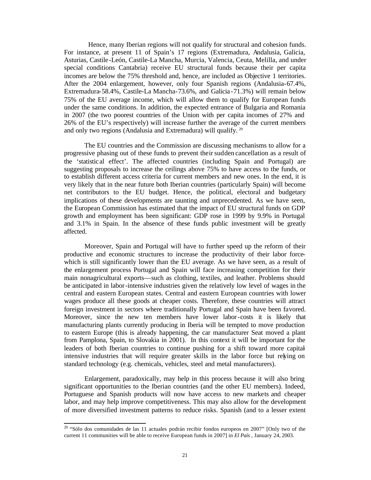Hence, many Iberian regions will not qualify for structural and cohesion funds. For instance, at present 11 of Spain's 17 regions (Extremadura, Andalusia, Galicia, Asturias, Castile -León, Castile-La Mancha, Murcia, Valencia, Ceuta, Melilla, and under special conditions Cantabria) receive EU structural funds because their per capita incomes are below the 75% threshold and, hence, are included as Objective 1 territories. After the 2004 enlargement, however, only four Spanish regions (Andalusia-67.4%, Extremadura-58.4%, Castile-La Mancha-73.6%, and Galicia -71.3%) will remain below 75% of the EU average income, which will allow them to qualify for European funds under the same conditions. In addition, the expected entrance of Bulgaria and Romania in 2007 (the two poorest countries of the Union with per capita incomes of 27% and 26% of the EU's respectively) will increase further the average of the current members and only two regions (Andalusia and Extremadura) will qualify. <sup>29</sup>

The EU countries and the Commission are discussing mechanisms to allow for a progressive phasing out of these funds to prevent their sudden cancellation as a result of the 'statistic al effect'. The affected countries (including Spain and Portugal) are suggesting proposals to increase the ceilings above 75% to have access to the funds, or to establish different access criteria for current members and new ones. In the end, it is very likely that in the near future both Iberian countries (particularly Spain) will become net contributors to the EU budget. Hence, the political, electoral and budgetary implications of these developments are taunting and unprecedented. As we have seen, the European Commission has estimated that the impact of EU structural funds on GDP growth and employment has been significant: GDP rose in 1999 by 9.9% in Portugal and 3.1% in Spain. In the absence of these funds public investment will be greatly affected.

Moreover, Spain and Portugal will have to further speed up the reform of their productive and economic structures to increase the productivity of their labor forcewhich is still significantly lower than the EU average. As we have seen, as a result of the enlargement process Portugal and Spain will face increasing competition for their main nonagricultural exports—such as clothing, textiles, and leather. Problems should be anticipated in labor-intensive industries given the relatively low level of wages in the central and eastern European states. Central and eastern European countries with lower wages produce all these goods at cheaper costs. Therefore, these countries will attract foreign investment in sectors where traditionally Portugal and Spain have been favored. Moreover, since the new ten members have lower labor-costs it is likely that manufacturing plants currently producing in Iberia will be tempted to move production to eastern Europe (this is already happening, the car manufacturer Seat moved a plant from Pamplona, Spain, to Slovakia in 2001). In this context it will be important for the leaders of both Iberian countries to continue pushing for a shift toward more capitalintensive industries that will require greater skills in the labor force but relying on standard technology (e.g. chemicals, vehicles, steel and metal manufacturers).

Enlargement, paradoxically, may help in this process because it will also bring significant opportunities to the Iberian countries (and the other EU members). Indeed, Portuguese and Spanish products will now have access to new markets and cheaper labor, and may help improve competitiveness. This may also allow for the development of more diversified investment patterns to reduce risks. Spanish (and to a lesser extent

<sup>&</sup>lt;sup>29</sup> "Sólo dos comunidades de las 11 actuales podrán recibir fondos europeos en 2007" [Only two of the current 11 communities will be able to receive European funds in 2007] in *El País* , January 24, 2003.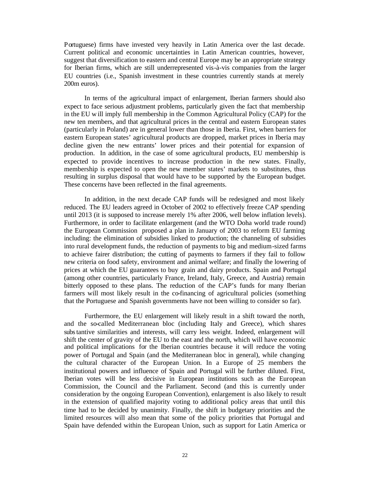Portuguese) firms have invested very heavily in Latin America over the last decade. Current political and economic uncertainties in Latin American countries, however, suggest that diversification to eastern and central Europe may be an appropriate strategy for Iberian firms, which are still underrepresented vis-à-vis companies from the larger EU countries (i.e., Spanish investment in these countries currently stands at merely 200m euros).

In terms of the agricultural impact of enlargement, Iberian farmers should also expect to face serious adjustment problems, particularly given the fact that membership in the EU will imply full membership in the Common Agricultural Policy (CAP) for the new ten members, and that agricultural prices in the central and eastern European states (particularly in Poland) are in general lower than those in Iberia. First, when barriers for eastern European states' agricultural products are dropped, market prices in Iberia may decline given the new entrants' lower prices and their potential for expansion of production. In addition, in the case of some agricultural products, EU membership is expected to provide incentives to increase production in the new states. Finally, membership is expected to open the new member states' markets to substitutes, thus resulting in surplus disposal that would have to be supported by the European budget. These concerns have been reflected in the final agreements.

In addition, in the next decade CAP funds will be redesigned and most likely reduced. The EU leaders agreed in October of 2002 to effectively freeze CAP spending until 2013 (it is supposed to increase merely 1% after 2006, well below inflation levels). Furthermore, in order to facilitate enlargement (and the WTO Doha world trade round) the European Commission proposed a plan in January of 2003 to reform EU farming including: the elimination of subsidies linked to production; the channeling of subsidies into rural development funds, the reduction of payments to big and medium-sized farms to achieve fairer distribution; the cutting of payments to farmers if they fail to follow new criteria on food safety, environment and animal welfare; and finally the lowering of prices at which the EU guarantees to buy grain and dairy products. Spain and Portugal (among other countries, particularly France, Ireland, Italy, Greece, and Austria) remain bitterly opposed to these plans. The reduction of the CAP's funds for many Iberian farmers will most likely result in the co-financing of agricultural policies (something that the Portuguese and Spanish governments have not been willing to consider so far).

Furthermore, the EU enlargement will likely result in a shift toward the north, and the so-called Mediterranean bloc (including Italy and Greece), which shares substantive similarities and interests, will carry less weight. Indeed, enlargement will shift the center of gravity of the EU to the east and the north, which will have economic and political implications for the Iberian countries because it will reduce the voting power of Portugal and Spain (and the Mediterranean bloc in general), while changing the cultural character of the European Union. In a Europe of 25 members the institutional powers and influence of Spain and Portugal will be further diluted. First, Iberian votes will be less decisive in European institutions such as the European Commission, the Council and the Parliament. Second (and this is currently under consideration by the ongoing European Convention), enlargement is also likely to result in the extension of qualified majority voting to additional policy areas that until this time had to be decided by unanimity. Finally, the shift in budgetary priorities and the limited resources will also mean that some of the policy priorities that Portugal and Spain have defended within the European Union, such as support for Latin America or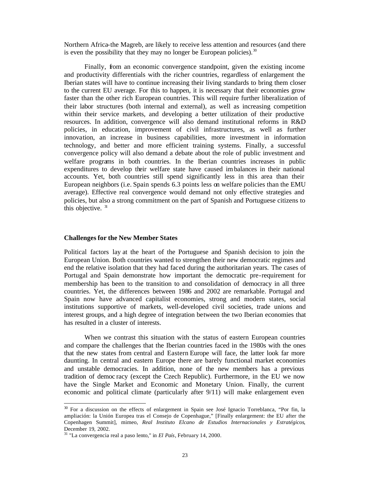Northern Africa-the Magreb, are likely to receive less attention and resources (and there is even the possibility that they may no longer be European policies).  $30$ 

Finally, from an economic convergence standpoint, given the existing income and productivity differentials with the richer countries, regardless of enlargement the Iberian states will have to continue increasing their living standards to bring them closer to the current EU average. For this to happen, it is necessary that their economies grow faster than the other rich European countries. This will require further liberalization of their labor structures (both internal and external), as well as increasing competition within their service markets, and developing a better utilization of their productive resources. In addition, convergence will also demand institutional reforms in R&D policies, in education, improvement of civil infrastructures, as well as further innovation, an increase in business capabilities, more investment in information technology, and better and more efficient training systems. Finally, a successful convergence policy will also demand a debate about the role of public investment and welfare programs in both countries. In the Iberian countries increases in public expenditures to develop their welfare state have caused imbalances in their national accounts. Yet, both countries still spend significantly less in this area than their European neighbors (i.e. Spain spends 6.3 points less on welfare policies than the EMU average). Effective real convergence would demand not only effective strategies and policies, but also a strong commitment on the part of Spanish and Portuguese citizens to this objective.  $31$ 

# **Challenges for the New Member States**

Political factors lay at the heart of the Portuguese and Spanish decision to join the European Union. Both countries wanted to strengthen their new democratic regimes and end the relative isolation that they had faced during the authoritarian years. The cases of Portugal and Spain demonstrate how important the democratic pre-requirement for membership has been to the transition to and consolidation of democracy in all three countries. Yet, the differences between 1986 and 2002 are remarkable. Portugal and Spain now have advanced capitalist economies, strong and modern states, social institutions supportive of markets, well-developed civil societies, trade unions and interest groups, and a high degree of integration between the two Iberian economies that has resulted in a cluster of interests.

When we contrast this situation with the status of eastern European countries and compare the challenges that the Iberian countries faced in the 1980s with the ones that the new states from central and Eastern Europe will face, the latter look far more daunting. In central and eastern Europe there are barely functional market economies and unstable democracies. In addition, none of the new members has a previous tradition of democ racy (except the Czech Republic). Furthermore, in the EU we now have the Single Market and Economic and Monetary Union. Finally, the current economic and political climate (particularly after 9/11) will make enlargement even

<sup>&</sup>lt;sup>30</sup> For a discussion on the effects of enlargement in Spain see José Ignacio Torreblanca, "Por fin, la ampliación: la Unión Europea tras el Consejo de Copenhague," [Finally enlargement: the EU after the Copenhagen Summit], mimeo, *Real Instituto Elcano de Estudios Internacionales y Estratégicos*, December 19, 2002.

<sup>31</sup> "La convergencia real a paso lento," in *El País*, February 14, 2000.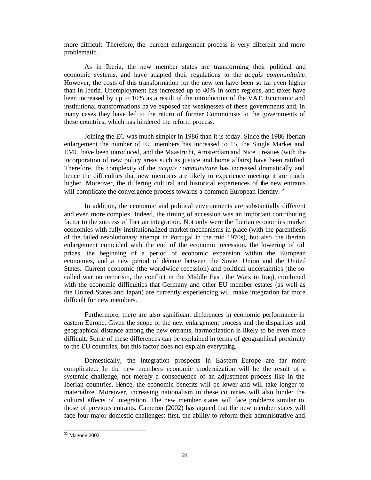more difficult. Therefore, the current enlargement process is very different and more problematic.

As in Iberia, the new member states are transforming their political and economic systems, and have adapted their regulations to the *acquis communitaire*. However, the costs of this transformation for the new ten have been so far even higher than in Iberia. Unemployment has increased up to 40% in some regions, and taxes have been increased by up to 10% as a result of the introduction of the VAT. Economic and institutional transformations ha ve exposed the weaknesses of these governments and, in many cases they have led to the return of former Communists to the governments of these countries, which has hindered the reform process.

Joining the EC was much simpler in 1986 than it is today. Since the 1986 Iberian enlargement the number of EU members has increased to 15, the Single Market and EMU have been introduced, and the Maastricht, Amsterdam and Nice Treaties (with the incorporation of new policy areas such as justice and home affairs) have been ratified. Therefore, the complexity of the *acquis communitaire* has increased dramatically and hence the difficulties that new members are likely to experience meeting it are much higher. Moreover, the differing cultural and historical experiences of the new entrants will complicate the convergence process towards a common European identity.<sup> $x$ </sup>

In addition, the economic and political environments are substantially different and even more complex. Indeed, the timing of accession was an important contributing factor to the success of Iberian integration. Not only were the Iberian economies market economies with fully institutionalized market mechanisms in place (with the parenthesis of the failed revolutionary attempt in Portugal in the mid 1970s), but also the Iberian enlargement coincided with the end of the economic recession, the lowering of oil prices, the beginning of a period of economic expansion within the European economies, and a new period of détente between the Soviet Union and the United States. Current economic (the worldwide recession) and political uncertainties (the socalled war on terrorism, the conflict in the Middle East, the Wars in Iraq), combined with the economic difficulties that Germany and other EU member estates (as well as the United States and Japan) are currently experiencing will make integration far more difficult for new members.

Furthermore, there are also significant differences in economic performance in eastern Europe. Given the scope of the new enlargement process and the disparities and geographical distance among the new entrants, harmonization is likely to be even more difficult. Some of these differences can be explained in terms of geographical proximity to the EU countries, but this factor does not explain everything.

Domestically, the integration prospects in Eastern Europe are far more complicated. In the new members economic modernization will be the result of a systemic challenge, not merely a consequence of an adjustment process like in the Iberian countries. Hence, the economic benefits will be lower and will take longer to materialize. Moreover, increasing nationalism in these countries will also hinder the cultural effects of integration. The new member states will face problems similar to those of previous entrants. Cameron (2002) has argued that the new member states will face four major domestic challenges: first, the ability to reform their administrative and

 $32$  Magone 2002.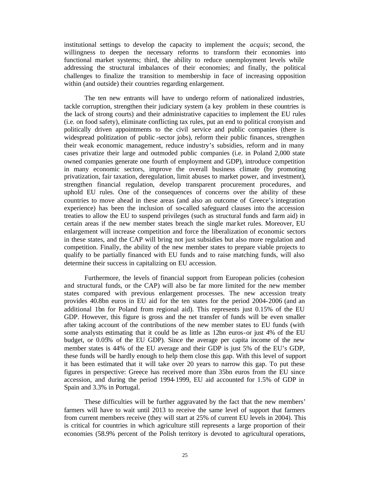institutional settings to develop the capacity to implement the *acquis*; second, the willingness to deepen the necessary reforms to transform their economies into functional market systems; third, the ability to reduce unemployment levels while addressing the structural imbalances of their economies; and finally, the political challenges to finalize the transition to membership in face of increasing opposition within (and outside) their countries regarding enlargement.

The ten new entrants will have to undergo reform of nationalized industries, tackle corruption, strengthen their judiciary system (a key problem in these countries is the lack of strong courts) and their administrative capacities to implement the EU rules (i.e. on food safety), eliminate conflicting tax rules, put an end to political cronyism and politically driven appointments to the civil service and public companies (there is widespread politization of public -sector jobs), reform their public finances, strengthen their weak economic management, reduce industry's subsidies, reform and in many cases privatize their large and outmoded public companies (i.e. in Poland 2,000 state owned companies generate one fourth of employment and GDP), introduce competition in many economic sectors, improve the overall business climate (by promoting privatization, fair taxation, deregulation, limit abuses to market power, and investment), strengthen financial regulation, develop transparent procurement procedures, and uphold EU rules. One of the consequences of concerns over the ability of these countries to move ahead in these areas (and also an outcome of Greece's integration experience) has been the inclusion of so-called safeguard clauses into the accession treaties to allow the EU to suspend privileges (such as structural funds and farm aid) in certain areas if the new member states breach the single market rules. Moreover, EU enlargement will increase competition and force the liberalization of economic sectors in these states, and the CAP will bring not just subsidies but also more regulation and competition. Finally, the ability of the new member states to prepare viable projects to qualify to be partially financed with EU funds and to raise matching funds, will also determine their success in capitalizing on EU accession.

Furthermore, the levels of financial support from European policies (cohesion and structural funds, or the CAP) will also be far more limited for the new member states compared with previous enlargement processes. The new accession treaty provides 40.8bn euros in EU aid for the ten states for the period 2004-2006 (and an additional 1bn for Poland from regional aid). This represents just 0.15% of the EU GDP. However, this figure is gross and the net transfer of funds will be even smaller after taking account of the contributions of the new member states to EU funds (with some analysts estimating that it could be as little as 12bn euros-or just 4% of the EU budget, or 0.05% of the EU GDP). Since the average per capita income of the new member states is 44% of the EU average and their GDP is just 5% of the EU's GDP, these funds will be hardly enough to help them close this gap. With this level of support it has been estimated that it will take over 20 years to narrow this gap. To put these figures in perspective: Greece has received more than 35bn euros from the EU since accession, and during the period 1994-1999, EU aid accounted for 1.5% of GDP in Spain and 3.3% in Portugal.

These difficulties will be further aggravated by the fact that the new members' farmers will have to wait until 2013 to receive the same level of support that farmers from current members receive (they will start at 25% of current EU levels in 2004). This is critical for countries in which agriculture still represents a large proportion of their economies (58.9% percent of the Polish territory is devoted to agricultural operations,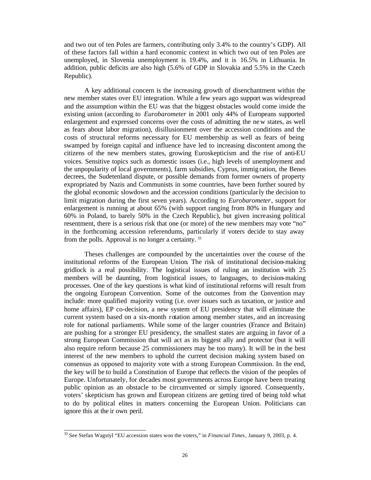and two out of ten Poles are farmers, contributing only 3.4% to the country's GDP). All of these factors fall within a hard economic context in which two out of ten Poles are unemployed, in Slovenia unemployment is 19.4%, and it is 16.5% in Lithuania. In addition, public deficits are also high (5.6% of GDP in Slovakia and 5.5% in the Czech Republic).

A key additional concern is the increasing growth of disenchantment within the new member states over EU integration. While a few years ago support was widespread and the assumption within the EU was that the biggest obstacles would come inside the existing union (according to *Eurobarometer* in 2001 only 44% of Europeans supported enlargement and expressed concerns over the costs of admitting the new states, as well as fears about labor migration), disillusionment over the accession conditions and the costs of structural reforms necessary for EU membership as well as fears of being swamped by foreign capital and influence have led to increasing discontent among the citizens of the new members states, growing Euroskepticism and the rise of anti-EU voices. Sensitive topics such as domestic issues (i.e., high levels of unemployment and the unpopularity of local governments), farm subsidies, Cyprus, immig ration, the Benes decrees, the Sudetenland dispute, or possible demands from former owners of property expropriated by Nazis and Communists in some countries, have been further soured by the global economic slowdown and the accession conditions (particularly the decision to limit migration during the first seven years). According to *Eurobarometer*, support for enlargement is running at about 65% (with support ranging from 80% in Hungary and 60% in Poland, to barely 50% in the Czech Republic), but given increasing political resentment, there is a serious risk that one (or more) of the new members may vote "no" in the forthcoming accession referendums, particularly if voters decide to stay away from the polls. Approval is no longer a certainty.<sup>33</sup>

Theses challenges are compounded by the uncertainties over the course of the institutional reforms of the European Union. The risk of institutional decision-making gridlock is a real possibility. The logistical issues of ruling an institution with 25 members will be daunting, from logistical issues, to languages, to decision-making processes. One of the key questions is what kind of institutional reforms will result from the ongoing European Convention. Some of the outcomes from the Convention may include: more qualified majority voting (i.e. over issues such as taxation, or justice and home affairs), EP co-decision, a new system of EU presidency that will eliminate the current system based on a six-month rotation among member states, and an increasing role for national parliaments. While some of the larger countries (France and Britain) are pushing for a stronger EU presidency, the smallest states are arguing in favor of a strong European Commission that will act as its biggest ally and protector (but it will also require reform because 25 commissioners may be too many). It will be in the best interest of the new members to uphold the current decision making system based on consensus as opposed to majority vote with a strong European Commission. In the end, the key will be to build a Constitution of Europe that reflects the vision of the peoples of Europe. Unfortunately, for decades most governments across Europe have been treating public opinion as an obstacle to be circumvented or simply ignored. Consequently, voters' skepticism has grown and European citizens are getting tired of being told what to do by political elites in matters concerning the European Union. Politicians can ignore this at the ir own peril.

<sup>33</sup> See Stefan Wagstyl "EU accession states woo the voters," in *Financial Times*, January 9, 2003, p. 4.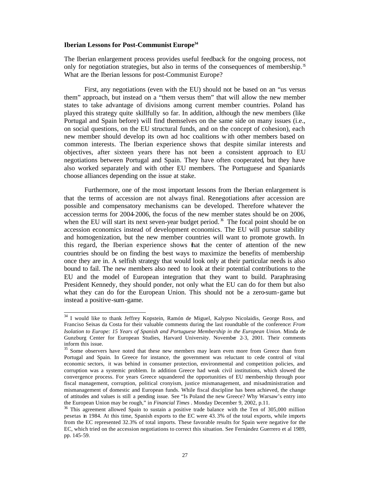# **Iberian Lessons for Post-Communist Europe<sup>34</sup>**

l

The Iberian enlargement process provides useful feedback for the ongoing process, not only for negotiation strategies, but also in terms of the consequences of membership. $\delta$ What are the Iberian lessons for post-Communist Europe?

First, any negotiations (even with the EU) should not be based on an "us versus them" approach, but instead on a "them versus them" that will allow the new member states to take advantage of divisions among current member countries. Poland has played this strategy quite skillfully so far. In addition, although the new members (like Portugal and Spain before) will find themselves on the same side on many issues (i.e., on social questions, on the EU structural funds, and on the concept of cohesion), each new member should develop its own ad hoc coalitions w ith other members based on common interests. The Iberian experience shows that despite similar interests and objectives, after sixteen years there has not been a consistent approach to EU negotiations between Portugal and Spain. They have often cooperated, but they have also worked separately and with other EU members. The Portuguese and Spaniards choose alliances depending on the issue at stake.

Furthermore, one of the most important lessons from the Iberian enlargement is that the terms of accession are not always final. Renegotiations after accession are possible and compensatory mechanisms can be developed. Therefore whatever the accession terms for 2004-2006, the focus of the new member states should be on 2006, when the EU will start its next seven-year budget period.<sup> $\text{\textdegree}$ </sup> The focal point should be on accession economics instead of development economics. The EU will pursue stability and homogenization, but the new member countries will want to promote growth. In this regard, the Iberian experience shows that the center of attention of the new countries should be on finding the best ways to maximize the benefits of membership once they are in. A selfish strategy that would look only at their particular needs is also bound to fail. The new members also need to look at their potential contributions to the EU and the model of European integration that they want to build. Paraphrasing President Kennedy, they should ponder, not only what the EU can do for them but also what they can do for the European Union. This should not be a zero-sum-game but instead a positive-sum-game.

<sup>&</sup>lt;sup>34</sup> I would like to thank Jeffrey Kopstein, Ramón de Miguel, Kalypso Nicolaidis, George Ross, and Franciso Seixas da Costa for their valuable comments during the last roundtable of the conference: *From Isolation to Europe: 15 Years of Spanish and Portuguese Membership in the European Union.* Minda de Gunzburg Center for European Studies, Harvard University. November 2-3, 2001. Their comments inform this issue.

<sup>&</sup>lt;sup>35</sup> Some observers have noted that these new members may learn even more from Greece than from Portugal and Spain. In Greece for instance, the government was reluctant to cede control of vital economic sectors, it was behind in consumer protection, environmental and competition policies, and corruption was a systemic problem. In addition Greece had weak civil institutions, which slowed the convergence process. For years Greece squandered the opportunities of EU membership through poor fiscal management, corruption, political cronyism, justice mismanagement, and misadministration and mismanagement of domestic and European funds. While fiscal discipline has been achieved, the change of attitudes and values is still a pending issue. See "Is Poland the new Greece? Why Warsaw's entry into the European Union may be rough," in *Financial Times* . Monday December 9, 2002, p.11.

<sup>&</sup>lt;sup>36</sup> This agreement allowed Spain to sustain a positive trade balance with the Ten of 305,000 million pesetas in 1984. At this time, Spanish exports to the EC were 43. 3% of the total exports, while imports from the EC represented 32.3% of total imports. These favorable results for Spain were negative for the EC, which tried on the accession negotiations to correct this situation. See Fernández Guerrero et al 1989, pp. 145-59.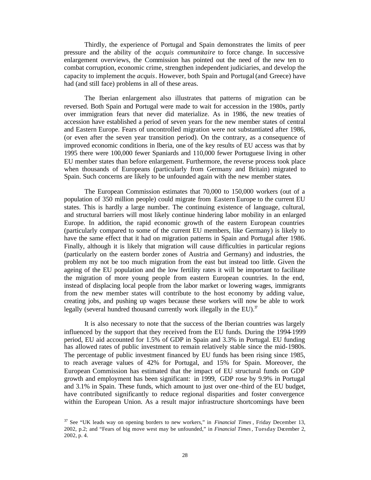Thirdly, the experience of Portugal and Spain demonstrates the limits of peer pressure and the ability of the *acquis communitaire* to force change. In successive enlargement overviews, the Commission has pointed out the need of the new ten to combat corruption, economic crime, strengthen independent judiciaries, and develop the capacity to implement the *acquis*. However, both Spain and Portugal (and Greece) have had (and still face) problems in all of these areas.

The Iberian enlargement also illustrates that patterns of migration can be reversed. Both Spain and Portugal were made to wait for accession in the 1980s, partly over immigration fears that never did materialize. As in 1986, the new treaties of accession have established a period of seven years for the new member states of central and Eastern Europe. Fears of uncontrolled migration were not substantiated after 1986, (or even after the seven year transition period). On the contrary, as a consequence of improved economic conditions in Iberia, one of the key results of EU access was that by 1995 there were 100,000 fewer Spaniards and 110,000 fewer Portuguese living in other EU member states than before enlargement. Furthermore, the reverse process took place when thousands of Europeans (particularly from Germany and Britain) migrated to Spain. Such concerns are likely to be unfounded again with the new member states.

The European Commission estimates that 70,000 to 150,000 workers (out of a population of 350 million people) could migrate from Eastern Europe to the current EU states. This is hardly a large number. The continuing existence of language, cultural, and structural barriers will most likely continue hindering labor mobility in an enlarged Europe. In addition, the rapid economic growth of the eastern European countries (particularly compared to some of the current EU members, like Germany) is likely to have the same effect that it had on migration patterns in Spain and Portugal after 1986. Finally, although it is likely that migration will cause difficulties in particular regions (particularly on the eastern border zones of Austria and Germany) and industries, the problem my not be too much migration from the east but instead too little. Given the ageing of the EU population and the low fertility rates it will be important to facilitate the migration of more young people from eastern European countries. In the end, instead of displacing local people from the labor market or lowering wages, immigrants from the new member states will contribute to the host economy by adding value, creating jobs, and pushing up wages because these workers will now be able to work legally (several hundred thousand currently work illegally in the EU).<sup> $\pi$ </sup>

It is also necessary to note that the success of the Iberian countries was largely influenced by the support that they received from the EU funds. During the 1994-1999 period, EU aid accounted for 1.5% of GDP in Spain and 3.3% in Portugal. EU funding has allowed rates of public investment to remain relatively stable since the mid-1980s. The percentage of public investment financed by EU funds has been rising since 1985, to reach average values of 42% for Portugal, and 15% for Spain. Moreover, the European Commission has estimated that the impact of EU structural funds on GDP growth and employment has been significant: in 1999, GDP rose by 9.9% in Portugal and 3.1% in Spain. These funds, which amount to just over one -third of the EU budget, have contributed significantly to reduce regional disparities and foster convergence within the European Union. As a result major infrastructure shortcomings have been

<sup>37</sup> See "UK leads way on opening borders to new workers," in *Financial Times* , Friday December 13, 2002, p.2; and "Fears of big move west may be unfounded," in *Financial Times*, Tuesday December 2, 2002, p. 4.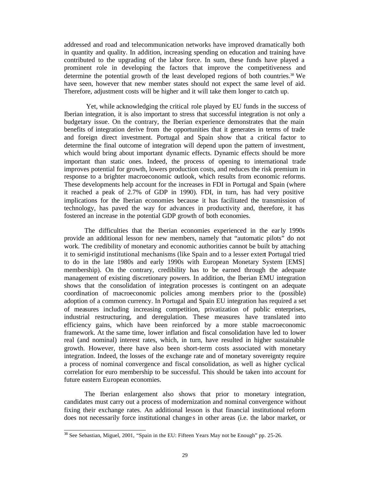addressed and road and telecommunication networks have improved dramatically both in quantity and quality. In addition, increasing spending on education and training have contributed to the upgrading of the labor force. In sum, these funds have played a prominent role in developing the factors that improve the competitiveness and determine the potential growth of the least developed regions of both countries.<sup>38</sup> We have seen, however that new member states should not expect the same level of aid. Therefore, adjustment costs will be higher and it will take them longer to catch up.

 Yet, while acknowledging the critical role played by EU funds in the success of Iberian integration, it is also important to stress that successful integration is not only a budgetary issue. On the contrary, the Iberian experience demonstrates that the main benefits of integration derive from the opportunities that it generates in terms of trade and foreign direct investment. Portugal and Spain show that a critical factor to determine the final outcome of integration will depend upon the pattern of investment, which would bring about important dynamic effects. Dynamic effects should be more important than static ones. Indeed, the process of opening to international trade improves potential for growth, lowers production costs, and reduces the risk premium in response to a brighter macroeconomic outlook, which results from economic reforms. These developments help account for the increases in FDI in Portugal and Spain (where it reached a peak of 2.7% of GDP in 1990). FDI, in turn, has had very positive implications for the Iberian economies because it has facilitated the transmission of technology, has paved the way for advances in productivity and, therefore, it has fostered an increase in the potential GDP growth of both economies.

The difficulties that the Iberian economies experienced in the early 1990s provide an additional lesson for new members, namely that "automatic pilots" do not work. The credibility of monetary and economic authorities cannot be built by attaching it to semi-rigid institutional mechanisms (like Spain and to a lesser extent Portugal tried to do in the late 1980s and early 1990s with European Monetary System [EMS] membership). On the contrary, credibility has to be earned through the adequate management of existing discretionary powers. In addition, the Iberian EMU integration shows that the consolidation of integration processes is contingent on an adequate coordination of macroeconomic policies among members prior to the (possible) adoption of a common currency. In Portugal and Spain EU integration has required a set of measures including increasing competition, privatization of public enterprises, industrial restructuring, and deregulation. These measures have translated into efficiency gains, which have been reinforced by a more stable macroeconomic framework. At the same time, lower inflation and fiscal consolidation have led to lower real (and nominal) interest rates, which, in turn, have resulted in higher sustainable growth. However, there have also been short-term costs associated with monetary integration. Indeed, the losses of the exchange rate and of monetary sovereignty require a process of nominal convergence and fiscal consolidation, as well as higher cyclical correlation for euro membership to be successful. This should be taken into account for future eastern European economies.

The Iberian enlargement also shows that prior to monetary integration, candidates must carry out a process of modernization and nominal convergence without fixing their exchange rates. An additional lesson is that financial institutional reform does not necessarily force institutional change s in other areas (i.e. the labor market, or

 $38$  See Sebastian, Miguel, 2001, "Spain in the EU: Fifteen Years May not be Enough" pp. 25-26.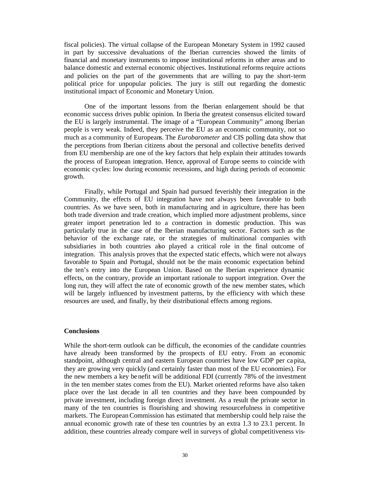fiscal policies). The virtual collapse of the European Monetary System in 1992 caused in part by successive devaluations of the Iberian currencies showed the limits of financial and monetary instruments to impose institutional reforms in other areas and to balance domestic and external economic objectives. Institutional reforms require actions and policies on the part of the governments that are willing to pay the short-term political price for unpopular policies. The jury is still out regarding the domestic institutional impact of Economic and Monetary Union.

One of the important lessons from the Iberian enlargement should be that economic success drives public opinion. In Iberia the greatest consensus elicited toward the EU is largely instrumental. The image of a "European Community" among Iberian people is very weak. Indeed, they perceive the EU as an economic community, not so much as a community of Europeans. The *Eurobarometer* and CIS polling data show that the perceptions from Iberian citizens about the personal and collective benefits derived from EU membership are one of the key factors that help explain their attitudes towards the process of European integration. Hence, approval of Europe seems to coincide with economic cycles: low during economic recessions, and high during periods of economic growth.

Finally, while Portugal and Spain had pursued feverishly their integration in the Community, the effects of EU integration have not always been favorable to both countries. As we have seen, both in manufacturing and in agriculture, there has been both trade diversion and trade creation, which implied more adjustment problems, since greater import penetration led to a contraction in domestic production. This was particularly true in the case of the Iberian manufacturing sector. Factors such as the behavior of the exchange rate, or the strategies of multinational companies with subsidiaries in both countries also played a critical role in the final outcome of integration. This analysis proves that the expected static effects, which were not always favorable to Spain and Portugal, should not be the main economic expectation behind the ten's entry into the European Union. Based on the Iberian experience dynamic effects, on the contrary, provide an important rationale to support integration. Over the long run, they will affect the rate of economic growth of the new member states, which will be largely influenced by investment patterns, by the efficiency with which these resources are used, and finally, by their distributional effects among regions.

#### **Conclusions**

While the short-term outlook can be difficult, the economies of the candidate countries have already been transformed by the prospects of EU entry. From an economic standpoint, although central and eastern European countries have low GDP per ca pita, they are growing very quickly (and certainly faster than most of the EU economies). For the new members a key benefit will be additional FDI (currently 78% of the investment in the ten member states comes from the EU). Market oriented reforms have also taken place over the last decade in all ten countries and they have been compounded by private investment, including foreign direct investment. As a result the private sector in many of the ten countries is flourishing and showing resourcefulness in competitive markets. The European Commission has estimated that membership could help raise the annual economic growth rate of these ten countries by an extra 1.3 to 23.1 percent. In addition, these countries already compare well in surveys of global competitiveness vis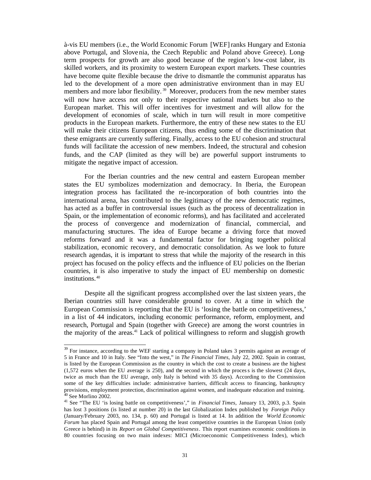à-vis EU members (i.e., the World Economic Forum [WEF] ranks Hungary and Estonia above Portugal, and Slove nia, the Czech Republic and Poland above Greece). Longterm prospects for growth are also good because of the region's low-cost labor, its skilled workers, and its proximity to western European export markets. These countries have become quite flexible because the drive to dismantle the communist apparatus has led to the development of a more open administrative environment than in may EU members and more labor flexibility.<sup>39</sup> Moreover, producers from the new member states will now have access not only to their respective national markets but also to the European market. This will offer incentives for investment and will allow for the development of economies of scale, which in turn will result in more competitive products in the European markets. Furthermore, the entry of these new states to the EU will make their citizens European citizens, thus ending some of the discrimination that these emigrants are currently suffering. Finally, access to the EU cohesion and structural funds will facilitate the accession of new members. Indeed, the structural and cohesion funds, and the CAP (limited as they will be) are powerful support instruments to mitigate the negative impact of accession.

For the Iberian countries and the new central and eastern European member states the EU symbolizes modernization and democracy. In Iberia, the European integration process has facilitated the re-incorporation of both countries into the international arena, has contributed to the legitimacy of the new democratic regimes, has acted as a buffer in controversial issues (such as the process of decentralization in Spain, or the implementation of economic reforms), and has facilitated and accelerated the process of convergence and modernization of financial, commercial, and manufacturing structures. The idea of Europe became a driving force that moved reforms forward and it was a fundamental factor for bringing together political stabilization, economic recovery, and democratic consolidation. As we look to future research agendas, it is important to stress that while the majority of the research in this project has focused on the policy effects and the influence of EU policies on the Iberian countries, it is also imperative to study the impact of EU membership on domestic institutions.<sup>40</sup>

Despite all the significant progress accomplished over the last sixteen years, the Iberian countries still have considerable ground to cover. At a time in which the European Commission is reporting that the EU is 'losing the battle on competitiveness,' in a list of 44 indicators, including economic performance, reform, employment, and research, Portugal and Spain (together with Greece) are among the worst countries in the majority of the areas. $41$  Lack of political willingness to reform and sluggish growth

 $39$  For instance, according to the WEF starting a company in Poland takes 3 permits against an average of 5 in France and 10 in Italy. See "Into the west," in *The Financial Times*, July 22, 2002. Spain in contrast, is listed by the European Commission as the country in which the cost to create a business are the highest (1,572 euros when the EU average is 250), and the second in which the process is the slowest (24 days, twice as much than the EU average, only Italy is behind with 35 days). According to the Commission some of the key difficulties include: administrative barriers, difficult access to financing, bankruptcy provisions, employment protection, discrimination against women, and inadequate education and training. <sup>40</sup> See Morlino 2002.

<sup>41</sup> See "The EU 'is losing battle on competitiveness'," in *Financial Times*, January 13, 2003, p.3. Spain has lost 3 positions (is listed at number 20) in the last Globalization Index published by *Foreign Policy* (January/February 2003, no. 134, p. 60) and Portugal is listed at 14. In addition the *World Economic Forum* has placed Spain and Portugal among the least competitive countries in the European Union (only Greece is behind) in its *Report on Global Competitiveness*. This report examines economic conditions in 80 countries focusing on two main indexes: MICI (Microeconomic Competitiveness Index), which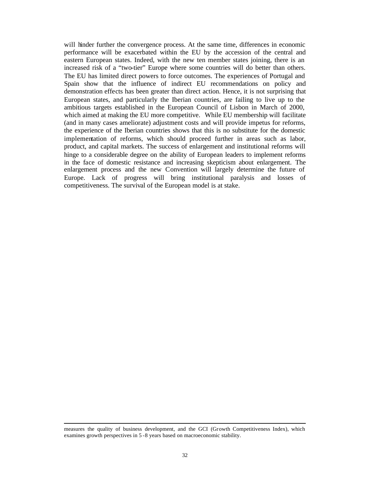will hinder further the convergence process. At the same time, differences in economic performance will be exacerbated within the EU by the accession of the central and eastern European states. Indeed, with the new ten member states joining, there is an increased risk of a "two-tier" Europe where some countries will do better than others. The EU has limited direct powers to force outcomes. The experiences of Portugal and Spain show that the influence of indirect EU recommendations on policy and demonstration effects has been greater than direct action. Hence, it is not surprising that European states, and particularly the Iberian countries, are failing to live up to the ambitious targets established in the European Council of Lisbon in March of 2000, which aimed at making the EU more competitive. While EU membership will facilitate (and in many cases ameliorate) adjustment costs and will provide impetus for reforms, the experience of the Iberian countries shows that this is no substitute for the domestic implementation of reforms, which should proceed further in areas such as labor, product, and capital markets. The success of enlargement and institutional reforms will hinge to a considerable degree on the ability of European leaders to implement reforms in the face of domestic resistance and increasing skepticism about enlargement. The enlargement process and the new Convention will largely determine the future of Europe. Lack of progress will bring institutional paralysis and losses of competitiveness. The survival of the European model is at stake.

measures the quality of business development, and the GCI (Growth Competitiveness Index), which examines growth perspectives in 5 -8 years based on macroeconomic stability.